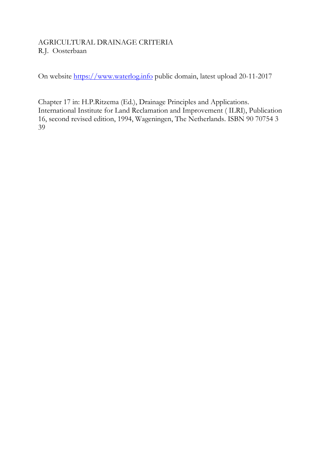# AGRICULTURAL DRAINAGE CRITERIA R.J. Oosterbaan

On website https://www.waterlog.info public domain, latest upload 20-11-2017

Chapter 17 in: H.P.Ritzema (Ed.), Drainage Principles and Applications. International Institute for Land Reclamation and Improvement ( ILRI), Publication 16, second revised edition, 1994, Wageningen, The Netherlands. ISBN 90 70754 3 39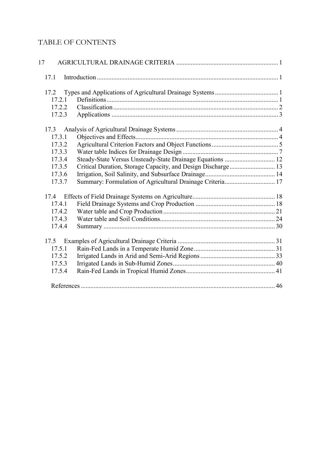# TABLE OF CONTENTS

| 17.1   |                                                              |  |
|--------|--------------------------------------------------------------|--|
| 17.2   |                                                              |  |
| 17.2.1 |                                                              |  |
| 17.2.2 |                                                              |  |
| 17.2.3 |                                                              |  |
| 17.3   |                                                              |  |
| 17.3.1 |                                                              |  |
| 17.3.2 |                                                              |  |
| 17.3.3 |                                                              |  |
| 17.3.4 | Steady-State Versus Unsteady-State Drainage Equations  12    |  |
| 17.3.5 | Critical Duration, Storage Capacity, and Design Discharge 13 |  |
| 17.3.6 |                                                              |  |
| 17.3.7 | Summary: Formulation of Agricultural Drainage Criteria 17    |  |
| 17.4   |                                                              |  |
| 17.4.1 |                                                              |  |
| 17.4.2 |                                                              |  |
| 17.4.3 |                                                              |  |
| 17.4.4 |                                                              |  |
| 17.5   |                                                              |  |
| 17.5.1 |                                                              |  |
| 17.5.2 |                                                              |  |
| 17.5.3 |                                                              |  |
| 17.5.4 |                                                              |  |
|        |                                                              |  |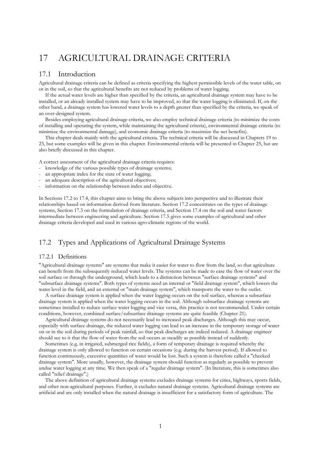# 17 AGRICULTURAL DRAINAGE CRITERIA

# 17.1 Introduction

Agricultural drainage criteria can be defined as criteria specifying the highest permissible levels of the water table, on or in the soil, so that the agricultural benefits are not reduced by problems of water logging.

 If the actual water levels are higher than specified by the criteria, an agricultural drainage system may have to be installed, or an already installed system may have to be improved, so that the water logging is eliminated. If, on the other hand, a drainage system has lowered water levels to a depth greater than specified by the criteria, we speak of an over-designed system.

 Besides employing agricultural drainage criteria, we also employ technical drainage criteria (to minimize the costs of installing and operating the system, while maintaining the agricultural criteria), environmental drainage criteria (to minimize the environmental damage), and economic drainage criteria (to maximize the net benefits).

 This chapter deals mainly with the agricultural criteria. The technical criteria will be discussed in Chapters 19 to 23, but some examples will be given in this chapter. Environmental criteria will be presented in Chapter 25, but are also briefly discussed in this chapter.

A correct assessment of the agricultural drainage criteria requires:

- knowledge of the various possible types of drainage systems;
- an appropriate index for the state of water logging;
- an adequate description of the agricultural objectives;
- information on the relationship between index and objective.

In Sections 17.2 to 17.4, this chapter aims to bring the above subjects into perspective and to illustrate their relationships based on information derived from literature. Section 17.2 concentrates on the types of drainage systems, Section 17.3 on the formulation of drainage criteria, and Section 17.4 on the soil and water factors intermediate between engineering and agriculture. Section 17.5 gives some examples of agricultural and other drainage criteria developed and used in various agro-climatic regions of the world.

# 17.2 Types and Applications of Agricultural Drainage Systems

# 17.2.1 Definitions

"Agricultural drainage systems" are systems that make it easier for water to flow from the land, so that agriculture can benefit from the subsequently reduced water levels. The systems can be made to ease the flow of water over the soil surface or through the underground, which leads to a distinction between "surface drainage systems" and "subsurface drainage systems". Both types of systems need an internal or "field drainage system", which lowers the water level in the field, and an external or "main drainage system", which transports the water to the outlet.

 A surface drainage system is applied when the water logging occurs on the soil surface, whereas a subsurface drainage system is applied when the water logging occurs in the soil. Although subsurface drainage systems are sometimes installed to reduce surface water logging and vice versa, this practice is not recommended. Under certain conditions, however, combined surface/subsurface drainage systems are quite feasible (Chapter 21).

 Agricultural drainage systems do not necessarily lead to increased peak discharges. Although this may occur, especially with surface drainage, the reduced water logging can lead to an increase in the temporary storage of water on or in the soil during periods of peak rainfall, so that peak discharges are indeed reduced. A drainage engineer should see to it that the flow of water from the soil occurs as steadily as possible instead of suddenly.

 Sometimes (e.g. in irrigated, submerged rice fields), a form of temporary drainage is required whereby the drainage system is only allowed to function on certain occasions (e.g. during the harvest period). If allowed to function continuously, excessive quantities of water would be lost. Such a system is therefore called a "checked drainage system". More usually, however, the drainage system should function as regularly as possible to prevent undue water logging at any time. We then speak of a "regular drainage system". (In literature, this is sometimes also called "relief drainage".)

 The above definition of agricultural drainage systems excludes drainage systems for cities, highways, sports fields, and other non-agricultural purposes. Further, it excludes natural drainage systems. Agricultural drainage systems are artificial and are only installed when the natural drainage is insufficient for a satisfactory form of agriculture. The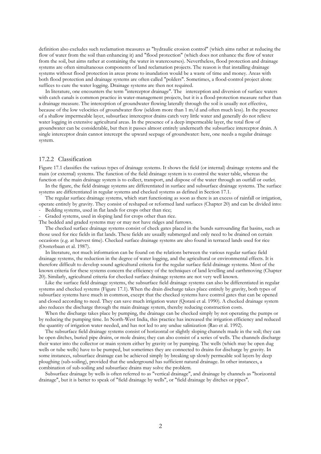definition also excludes such reclamation measures as "hydraulic erosion control" (which aims rather at reducing the flow of water from the soil than enhancing it) and "flood protection" (which does not enhance the flow of water from the soil, but aims rather at containing the water in watercourses). Nevertheless, flood protection and drainage systems are often simultaneous components of land reclamation projects. The reason is that installing drainage systems without flood protection in areas prone to inundation would be a waste of time and money. Areas with both flood protection and drainage systems are often called "polders". Sometimes, a flood-control project alone suffices to cure the water logging. Drainage systems are then not required.

 In literature, one encounters the term "interceptor drainage". The interception and diversion of surface waters with catch canals is common practice in water-management projects, but it is a flood-protection measure rather than a drainage measure. The interception of groundwater flowing laterally through the soil is usually not effective, because of the low velocities of groundwater flow (seldom more than 1 m/d and often much less). In the presence of a shallow impermeable layer, subsurface interceptor drains catch very little water and generally do not relieve water logging in extensive agricultural areas. In the presence of a deep impermeable layer, the total flow of groundwater can be considerable, but then it passes almost entirely underneath the subsurface interceptor drain. A single interceptor drain cannot intercept the upward seepage of groundwater: here, one needs a regular drainage system.

# 17.2.2 Classification

Figure 17.1 classifies the various types of drainage systems. It shows the field (or internal) drainage systems and the main (or external) systems. The function of the field drainage system is to control the water table, whereas the function of the main drainage system is to collect, transport, and dispose of the water through an outfall or outlet.

 In the figure, the field drainage systems are differentiated in surface and subsurface drainage systems. The surface systems are differentiated in regular systems and checked systems as defined in Section 17.1.

 The regular surface drainage systems, which start functioning as soon as there is an excess of rainfall or irrigation, operate entirely by gravity. They consist of reshaped or reformed land surfaces (Chapter 20) and can be divided into:

Bedding systems, used in flat lands for crops other than rice;

Graded systems, used in sloping land for crops other than rice.

The bedded and graded systems may or may not have ridges and furrows.

 The checked surface drainage systems consist of check gates placed in the bunds surrounding flat basins, such as those used for rice fields in flat lands. These fields are usually submerged and only need to be drained on certain occasions (e.g. at harvest time). Checked surface drainage systems are also found in terraced lands used for rice (Oosterbaan et al. 1987).

 In literature, not much information can be found on the relations between the various regular surface field drainage systems, the reduction in the degree of water logging, and the agricultural or environmental effects. It is therefore difficult to develop sound agricultural criteria for the regular surface field drainage systems. Most of the known criteria for these systems concern the efficiency of the techniques of land levelling and earthmoving (Chapter 20). Similarly, agricultural criteria for checked surface drainage systems are not very well known.

 Like the surface field drainage systems, the subsurface field drainage systems can also be differentiated in regular systems and checked systems (Figure 17.1). When the drain discharge takes place entirely by gravity, both types of subsurface systems have much in common, except that the checked systems have control gates that can be opened and closed according to need. They can save much irrigation water (Qorani et al. 1990). A checked drainage system also reduces the discharge through the main drainage system, thereby reducing construction costs.

 When the discharge takes place by pumping, the drainage can be checked simply by not operating the pumps or by reducing the pumping time. In North-West India, this practice has increased the irrigation efficiency and reduced the quantity of irrigation water needed, and has not led to any undue salinization (Rao et al. 1992).

 The subsurface field drainage systems consist of horizontal or slightly sloping channels made in the soil; they can be open ditches, buried pipe drains, or mole drains; they can also consist of a series of wells. The channels discharge their water into the collector or main system either by gravity or by pumping. The wells (which may be open dug wells or tube wells) have to be pumped, but sometimes they are connected to drains for discharge by gravity. In some instances, subsurface drainage can be achieved simply by breaking up slowly permeable soil layers by deep ploughing (sub-soiling), provided that the underground has sufficient natural drainage. In other instances, a combination of sub-soiling and subsurface drains may solve the problem.

 Subsurface drainage by wells is often referred to as "vertical drainage", and drainage by channels as "horizontal drainage", but it is better to speak of "field drainage by wells", or "field drainage by ditches or pipes".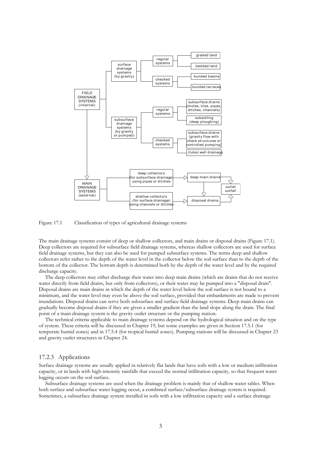

Figure 17.1 Classification of types of agricultural drainage systems

The main drainage systems consist of deep or shallow collectors, and main drains or disposal drains (Figure 17.1). Deep collectors are required for subsurface field drainage systems, whereas shallow collectors are used for surface field drainage systems, but they can also be used for pumped subsurface systems. The terms deep and shallow collectors refer rather to the depth of the water level in the collector below the soil surface than to the depth of the bottom of the collector. The bottom depth is determined both by the depth of the water level and by the required discharge capacity.

 The deep collectors may either discharge their water into deep main drains (which are drains that do not receive water directly from field drains, but only from collectors), or their water may be pumped into a "disposal drain". Disposal drains are main drains in which the depth of the water level below the soil surface is not bound to a minimum, and the water level may even be above the soil surface, provided that embankments are made to prevent inundations. Disposal drains can serve both subsurface and surface field drainage systems. Deep main drains can gradually become disposal drains if they are given a smaller gradient than the land slope along the drain. The final point of a main drainage system is the gravity outlet structure or the pumping station.

 The technical criteria applicable to main drainage systems depend on the hydrological situation and on the type of system. These criteria will be discussed in Chapter 19, but some examples are given in Section 17.5.1 (for temperate humid zones) and in 17.5.4 (for tropical humid zones). Pumping stations will be discussed in Chapter 23 and gravity outlet structures in Chapter 24.

### 17.2.3 Applications

Surface drainage systems are usually applied in relatively flat lands that have soils with a low or medium infiltration capacity, or in lands with high-intensity rainfalls that exceed the normal infiltration capacity, so that frequent water logging occurs on the soil surface.

 Subsurface drainage systems are used when the drainage problem is mainly that of shallow water tables. When both surface and subsurface water logging occur, a combined surface/subsurface drainage system is required. Sometimes, a subsurface drainage system installed in soils with a low infiltration capacity and a surface drainage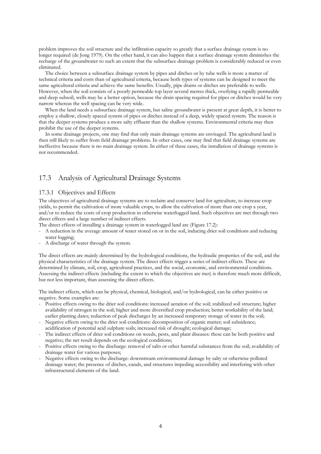problem improves the soil structure and the infiltration capacity so greatly that a surface drainage system is no longer required (de Jong 1979). On the other hand, it can also happen that a surface drainage system diminishes the recharge of the groundwater to such an extent that the subsurface drainage problem is considerably reduced or even eliminated.

 The choice between a subsurface drainage system by pipes and ditches or by tube wells is more a matter of technical criteria and costs than of agricultural criteria, because both types of systems can be designed to meet the same agricultural criteria and achieve the same benefits. Usually, pipe drains or ditches are preferable to wells. However, when the soil consists of a poorly permeable top layer several metres thick, overlying a rapidly permeable and deep subsoil, wells may be a better option, because the drain spacing required for pipes or ditches would be very narrow whereas the well spacing can be very wide.

 When the land needs a subsurface drainage system, but saline groundwater is present at great depth, it is better to employ a shallow, closely spaced system of pipes or ditches instead of a deep, widely spaced system. The reason is that the deeper systems produce a more salty effluent than the shallow systems. Environmental criteria may then prohibit the use of the deeper systems.

 In some drainage projects, one may find that only main drainage systems are envisaged. The agricultural land is then still likely to suffer from field drainage problems. In other cases, one may find that field drainage systems are ineffective because there is no main drainage system. In either of these cases, the installation of drainage systems is not recommended.

# 17.3 Analysis of Agricultural Drainage Systems

# 17.3.1 Objectives and Effects

The objectives of agricultural drainage systems are to reclaim and conserve land for agriculture, to increase crop yields, to permit the cultivation of more valuable crops, to allow the cultivation of more than one crop a year, and/or to reduce the costs of crop production in otherwise waterlogged land. Such objectives are met through two direct effects and a large number of indirect effects.

- The direct effects of installing a drainage system in waterlogged land are (Figure 17.2):
- A reduction in the average amount of water stored on or in the soil, inducing drier soil conditions and reducing water logging;
- A discharge of water through the system.

The direct effects are mainly determined by the hydrological conditions, the hydraulic properties of the soil, and the physical characteristics of the drainage system. The direct effects trigger a series of indirect effects. These are determined by climate, soil, crop, agricultural practices, and the social, economic, and environmental conditions. Assessing the indirect effects (including the extent to which the objectives are met) is therefore much more difficult, but not less important, than assessing the direct effects.

The indirect effects, which can be physical, chemical, biological, and/or hydrological, can be either positive or negative. Some examples are:

- Positive effects owing to the drier soil conditions: increased aeration of the soil; stabilized soil structure; higher availability of nitrogen in the soil; higher and more diversified crop production; better workability of the land; earlier planting dates; reduction of peak discharges by an increased temporary storage of water in the soil;
- Negative effects owing to the drier soil conditions: decomposition of organic matter; soil subsidence; acidification of potential acid sulphate soils; increased risk of drought; ecological damage;
- The indirect effects of drier soil conditions on weeds, pests, and plant diseases: these can be both positive and negative; the net result depends on the ecological conditions;
- Positive effects owing to the discharge: removal of salts or other harmful substances from the soil; availability of drainage water for various purposes;
- Negative effects owing to the discharge: downstream environmental damage by salty or otherwise polluted drainage water; the presence of ditches, canals, and structures impeding accessibility and interfering with other infrastructural elements of the land.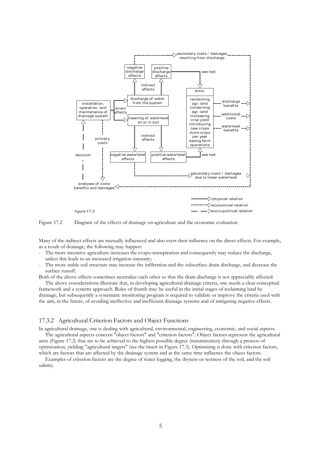



Many of the indirect effects are mutually influenced and also exert their influence on the direct effects. For example, as a result of drainage, the following may happen:

- The more intensive agriculture increases the evapo-transpiration and consequently may reduce the discharge, unless this leads to an increased irrigation intensity;
- The more stable soil structure may increase the infiltration and the subsurface drain discharge, and decrease the surface runoff.

Both of the above effects sometimes neutralize each other so that the drain discharge is not appreciably affected. The above considerations illustrate that, in developing agricultural drainage criteria, one needs a clear conceptual

framework and a systems approach. Rules of thumb may be useful in the initial stages of reclaiming land by drainage, but subsequently a systematic monitoring program is required to validate or improve the criteria used with the aim, in the future, of avoiding ineffective and inefficient drainage systems and of mitigating negative effects.

# 17.3.2 Agricultural Criterion Factors and Object Functions

In agricultural drainage, one is dealing with agricultural, environmental, engineering, economic, and social aspects. The agricultural aspects concern "object factors" and "criterion factors". Object factors represent the agricultural aims (Figure 17.2) that are to be achieved to the highest possible degree (maximization) through a process of optimisation, yielding "agricultural targets" (see the insert in Figure 17.3). Optimising is done with criterion factors,

which are factors that are affected by the drainage system and at the same time influence the object factors. Examples of criterion factors are the degree of water logging, the dryness or wetness of the soil, and the soil salinity.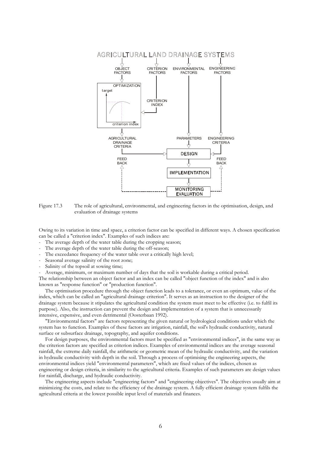

Figure 17.3 The role of agricultural, environmental, and engineering factors in the optimisation, design, and evaluation of drainage systems

Owing to its variation in time and space, a criterion factor can be specified in different ways. A chosen specification can be called a "criterion index". Examples of such indices are:

- The average depth of the water table during the cropping season;
- The average depth of the water table during the off-season;
- The exceedance frequency of the water table over a critically high level;
- Seasonal average salinity of the root zone;
- Salinity of the topsoil at sowing time;

- Average, minimum, or maximum number of days that the soil is workable during a critical period.

The relationship between an object factor and an index can be called "object function of the index" and is also known as "response function" or "production function".

 The optimisation procedure through the object function leads to a tolerance, or even an optimum, value of the index, which can be called an "agricultural drainage criterion". It serves as an instruction to the designer of the drainage system because it stipulates the agricultural condition the system must meet to be effective (i.e. to fulfil its purpose). Also, the instruction can prevent the design and implementation of a system that is unnecessarily intensive, expensive, and even detrimental (Oosterbaan 1992).

 "Environmental factors" are factors representing the given natural or hydrological conditions under which the system has to function. Examples of these factors are irrigation, rainfall, the soil's hydraulic conductivity, natural surface or subsurface drainage, topography, and aquifer conditions.

 For design purposes, the environmental factors must be specified as "environmental indices", in the same way as the criterion factors are specified as criterion indices. Examples of environmental indices are the average seasonal rainfall, the extreme daily rainfall, the arithmetic or geometric mean of the hydraulic conductivity, and the variation in hydraulic conductivity with depth in the soil. Through a process of optimising the engineering aspects, the environmental indices yield "environmental parameters", which are fixed values of the indices, chosen as engineering or design criteria, in similarity to the agricultural criteria. Examples of such parameters are design values for rainfall, discharge, and hydraulic conductivity.

 The engineering aspects include "engineering factors" and "engineering objectives". The objectives usually aim at minimizing the costs, and relate to the efficiency of the drainage system. A fully efficient drainage system fulfils the agricultural criteria at the lowest possible input level of materials and finances.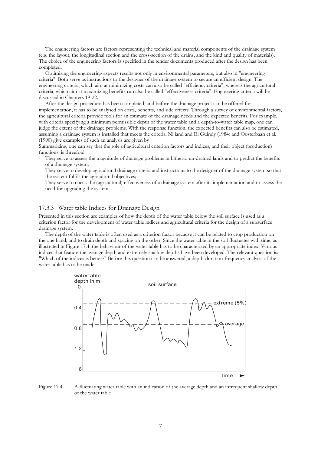The engineering factors are factors representing the technical and material components of the drainage system (e.g. the layout, the longitudinal section and the cross-section of the drains, and the kind and quality of materials). The choice of the engineering factors is specified in the tender documents produced after the design has been completed.

 Optimising the engineering aspects results not only in environmental parameters, but also in "engineering criteria". Both serve as instructions to the designer of the drainage system to secure an efficient design. The engineering criteria, which aim at minimizing costs can also be called "efficiency criteria", whereas the agricultural criteria, which aim at maximizing benefits can also be called "effectiveness criteria". Engineering criteria will be discussed in Chapters 19-22.

 After the design procedure has been completed, and before the drainage project can be offered for implementation, it has to be analysed on costs, benefits, and side effects. Through a survey of environmental factors, the agricultural criteria provide tools for an estimate of the drainage needs and the expected benefits. For example, with criteria specifying a minimum permissible depth of the water table and a depth-to-water table map, one can judge the extent of the drainage problems. With the response function, the expected benefits can also be estimated, assuming a drainage system is installed that meets the criteria. Nijland and El Guindy (1984) and Oosterbaan et al. (1990) give examples of such an analysis are given by

Summarizing, one can say that the role of agricultural criterion factors and indices, and their object (production) functions, is threefold:

- They serve to assess the magnitude of drainage problems in hitherto un-drained lands and to predict the benefits of a drainage system;
- They serve to develop agricultural drainage criteria and instructions to the designer of the drainage system so that the system fulfils the agricultural objectives;
- They serve to check the (agricultural) effectiveness of a drainage system after its implementation and to assess the need for upgrading the system.

### 17.3.3 Water table Indices for Drainage Design

Presented in this section are examples of how the depth of the water table below the soil surface is used as a criterion factor for the development of water table indices and agricultural criteria for the design of a subsurface drainage system.

 The depth of the water table is often used as a criterion factor because it can be related to crop production on the one hand, and to drain depth and spacing on the other. Since the water table in the soil fluctuates with time, as illustrated in Figure 17.4, the behaviour of the water table has to be characterized by an appropriate index. Various indices that feature the average depth and extremely shallow depths have been developed. The relevant question is: "Which of the indices is better?" Before this question can be answered, a depth-duration-frequency analysis of the water table has to be made.



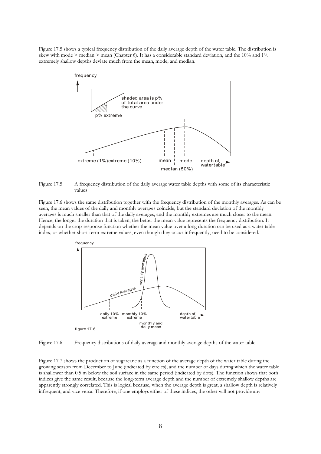Figure 17.5 shows a typical frequency distribution of the daily average depth of the water table. The distribution is skew with mode > median > mean (Chapter 6). It has a considerable standard deviation, and the 10% and 1% extremely shallow depths deviate much from the mean, mode, and median.



Figure 17.5 A frequency distribution of the daily average water table depths with some of its characteristic values

Figure 17.6 shows the same distribution together with the frequency distribution of the monthly averages. As can be seen, the mean values of the daily and monthly averages coincide, but the standard deviation of the monthly averages is much smaller than that of the daily averages, and the monthly extremes are much closer to the mean. Hence, the longer the duration that is taken, the better the mean value represents the frequency distribution. It depends on the crop-response function whether the mean value over a long duration can be used as a water table index, or whether short-term extreme values, even though they occur infrequently, need to be considered.





Figure 17.7 shows the production of sugarcane as a function of the average depth of the water table during the growing season from December to June (indicated by circles), and the number of days during which the water table is shallower than 0.5 m below the soil surface in the same period (indicated by dots). The function shows that both indices give the same result, because the long-term average depth and the number of extremely shallow depths are apparently strongly correlated. This is logical because, when the average depth is great, a shallow depth is relatively infrequent, and vice versa. Therefore, if one employs either of these indices, the other will not provide any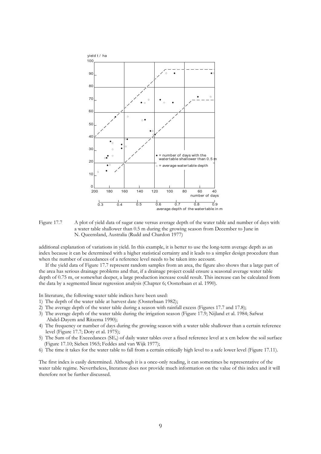



additional explanation of variations in yield. In this example, it is better to use the long-term average depth as an index because it can be determined with a higher statistical certainty and it leads to a simpler design procedure than when the number of exceedances of a reference level needs to be taken into account.

 If the yield data of Figure 17.7 represent random samples from an area, the figure also shows that a large part of the area has serious drainage problems and that, if a drainage project could ensure a seasonal average water table depth of 0.75 m, or somewhat deeper, a large production increase could result. This increase can be calculated from the data by a segmented linear regression analysis (Chapter 6; Oosterbaan et al. 1990).

In literature, the following water table indices have been used:

- 1) The depth of the water table at harvest date (Oosterbaan 1982);
- 2) The average depth of the water table during a season with rainfall excess (Figures 17.7 and 17.8);
- 3) The average depth of the water table during the irrigation season (Figure 17.9; Nijland et al. 1984; Safwat Abdel-Dayem and Ritzema 1990);
- 4) The frequency or number of days during the growing season with a water table shallower than a certain reference level (Figure 17.7; Doty et al. 1975);
- 5) The Sum of the Exceedances (SEx) of daily water tables over a fixed reference level at x cm below the soil surface (Figure 17.10; Sieben 1965; Feddes and van Wijk 1977);
- 6) The time it takes for the water table to fall from a certain critically high level to a safe lower level (Figure 17.11).

The first index is easily determined. Although it is a once-only reading, it can sometimes be representative of the water table regime. Nevertheless, literature does not provide much information on the value of this index and it will therefore not be further discussed.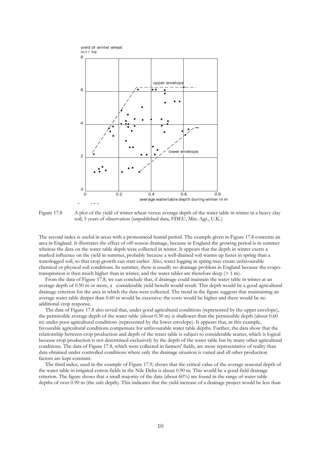

Figure 17.8 A plot of the yield of winter wheat versus average depth of the water table in winter in a heavy clay soil; 5 years of observation (unpublished data, FDEU, Min. Agr., U.K.)

The second index is useful in areas with a pronounced humid period. The example given in Figure 17.8 concerns an area in England. It illustrates the effect of off-season drainage, because in England the growing period is in summer whereas the data on the water table depth were collected in winter. It appears that the depth in winter exerts a marked influence on the yield in summer, probably because a well-drained soil warms up faster in spring than a waterlogged soil, so that crop growth can start earlier. Also, water logging in spring may create unfavourable chemical or physical soil conditions. In summer, there is usually no drainage problem in England because the evapotranspiration is then much higher than in winter, and the water tables are therefore deep  $(> 1 \text{ m})$ .

 From the data of Figure 17.8, we can conclude that, if drainage could maintain the water table in winter at an average depth of 0.50 m or more, a considerable yield benefit would result. This depth would be a good agricultural drainage criterion for the area in which the data were collected. The trend in the figure suggests that maintaining an average water table deeper than 0.60 m would be excessive: the costs would be higher and there would be no additional crop response.

 The data of Figure 17.8 also reveal that, under good agricultural conditions (represented by the upper envelope), the permissible average depth of the water table (about 0.30 m) is shallower than the permissible depth (about 0.60 m) under poor agricultural conditions (represented by the lower envelope). It appears that, in this example, favourable agricultural conditions compensate for unfavourable water table depths. Further, the data show that the relationship between crop production and depth of the water table is subject to considerable scatter, which is logical because crop production is not determined exclusively by the depth of the water table but by many other agricultural conditions. The data of Figure 17.8, which were collected in farmers' fields, are more representative of reality than data obtained under controlled conditions where only the drainage situation is varied and all other production factors are kept constant.

 The third index, used in the example of Figure 17.9, shows that the critical value of the average seasonal depth of the water table in irrigated cotton fields in the Nile Delta is about 0.90 m. This would be a good field drainage criterion. The figure shows that a small majority of the data (about 60%) are found in the range of water table depths of over 0.90 m (the safe depth). This indicates that the yield increase of a drainage project would be less than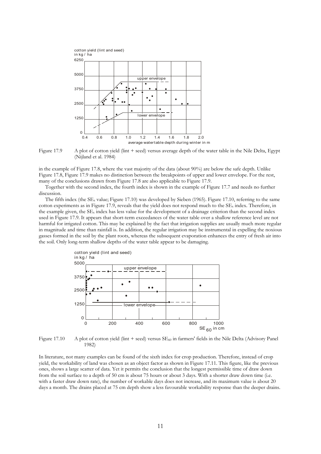

Figure 17.9 A plot of cotton yield (lint  $+$  seed) versus average depth of the water table in the Nile Delta, Egypt (Nijland et al. 1984)

in the example of Figure 17.8, where the vast majority of the data (about 90%) are below the safe depth. Unlike Figure 17.8, Figure 17.9 makes no distinction between the breakpoints of upper and lower envelope. For the rest, many of the conclusions drawn from Figure 17.8 are also applicable to Figure 17.9.

 Together with the second index, the fourth index is shown in the example of Figure 17.7 and needs no further discussion.

The fifth index (the  $SE_x$  value; Figure 17.10) was developed by Sieben (1965). Figure 17.10, referring to the same cotton experiments as in Figure 17.9, reveals that the yield does not respond much to the  $SE<sub>x</sub>$  index. Therefore, in the example given, the  $SE_x$  index has less value for the development of a drainage criterion than the second index used in Figure 17.9. It appears that short-term exceedances of the water table over a shallow reference level are not harmful for irrigated cotton. This may be explained by the fact that irrigation supplies are usually much more regular in magnitude and time than rainfall is. In addition, the regular irrigation may be instrumental in expelling the noxious gasses formed in the soil by the plant roots, whereas the subsequent evaporation enhances the entry of fresh air into the soil. Only long-term shallow depths of the water table appear to be damaging.



**Figure 17.10** A plot of cotton yield (lint + seed) versus  $SE<sub>60</sub>$  in farmers' fields in the Nile Delta (Advisory Panel 1982)

In literature, not many examples can be found of the sixth index for crop production. Therefore, instead of crop yield, the workability of land was chosen as an object factor as shown in Figure 17.11. This figure, like the previous ones, shows a large scatter of data. Yet it permits the conclusion that the longest permissible time of draw down from the soil surface to a depth of 50 cm is about 75 hours or about 3 days. With a shorter draw down time (i.e. with a faster draw down rate), the number of workable days does not increase, and its maximum value is about 20 days a month. The drains placed at 75 cm depth show a less favourable workability response than the deeper drains.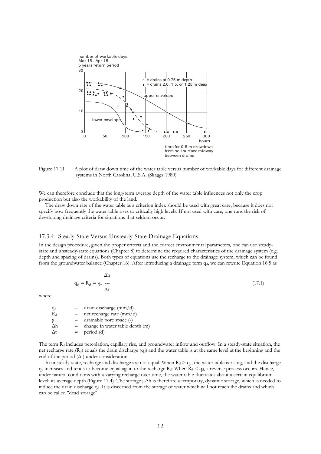

Figure 17.11 A plot of draw down time of the water table versus number of workable days for different drainage systems in North Carolina, U.S.A. (Skaggs 1980)

We can therefore conclude that the long-term average depth of the water table influences not only the crop production but also the workability of the land.

 The draw down rate of the water table as a criterion index should be used with great care, because it does not specify how frequently the water table rises to critically high levels. If not used with care, one runs the risk of developing drainage criteria for situations that seldom occur.

# 17.3.4 Steady-State Versus Unsteady-State Drainage Equations

In the design procedure, given the proper criteria and the correct environmental parameters, one can use steadystate and unsteady-state equations (Chapter 8) to determine the required characteristics of the drainage system (e.g. depth and spacing of drains). Both types of equations use the recharge to the drainage system, which can be found from the groundwater balance (Chapter 16). After introducing a drainage term  $q_d$ , we can rewrite Equation 16.5 as

$$
q_d = R_d = -\mu
$$
\n
$$
\Delta h
$$
\n
$$
q_d = (17.1)
$$
\n
$$
\Delta t
$$

where:

| $q_d$      | $=$ | drain discharge (mm/d)          |
|------------|-----|---------------------------------|
| $R_d$      | $=$ | net rectangle rate (mm/d)       |
| $\mu$      | $=$ | drainable pore space ( $\neg$ ) |
| $\Delta h$ | $=$ | change in water table depth (m) |
| $\Delta t$ | $=$ | period (d)                      |

The term R<sub>d</sub> includes percolation, capillary rise, and groundwater inflow and outflow. In a steady-state situation, the net recharge rate  $(R_d)$  equals the drain discharge  $(q_d)$  and the water table is at the same level at the beginning and the end of the period  $(∆t)$  under consideration.

In unsteady-state, recharge and discharge are not equal. When  $R_d > q_d$ , the water table is rising, and the discharge  $q_d$  increases and tends to become equal again to the recharge  $R_d$ . When  $R_d < q_d$ , a reverse process occurs. Hence, under natural conditions with a varying recharge over time, the water table fluctuates about a certain equilibrium level: its average depth (Figure 17.4). The storage µ∆h is therefore a temporary, dynamic storage, which is needed to induce the drain discharge qd. It is discerned from the storage of water which will not reach the drains and which can be called "dead storage".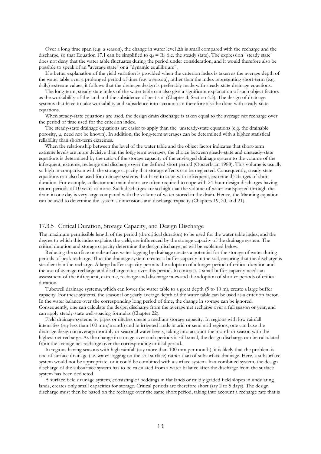Over a long time span (e.g. a season), the change in water level ∆h is small compared with the recharge and the discharge, so that Equation 17.1 can be simplified to  $q_d = R_d$  (i.e. the steady state). The expression "steady state" does not deny that the water table fluctuates during the period under consideration, and it would therefore also be possible to speak of an "average state" or a "dynamic equilibrium".

 If a better explanation of the yield variation is provided when the criterion index is taken as the average depth of the water table over a prolonged period of time (e.g. a season), rather than the index representing short-term (e.g. daily) extreme values, it follows that the drainage design is preferably made with steady-state drainage equations.

 The long-term, steady-state index of the water table can also give a significant explanation of such object factors as the workability of the land and the subsidence of peat soil (Chapter 4, Section 4.3). The design of drainage systems that have to take workability and subsidence into account can therefore also be done with steady-state equations.

 When steady-state equations are used, the design drain discharge is taken equal to the average net recharge over the period of time used for the criterion index.

 The steady-state drainage equations are easier to apply than the unsteady-state equations (e.g. the drainable porosity, µ, need not be known). In addition, the long-term averages can be determined with a higher statistical reliability than short-term extremes.

 When the relationship between the level of the water table and the object factor indicates that short-term extreme levels are more decisive than the long-term averages, the choice between steady-state and unsteady-state equations is determined by the ratio of the storage capacity of the envisaged drainage system to the volume of the infrequent, extreme, recharge and discharge over the defined short period (Oosterbaan 1988). This volume is usually so high in comparison with the storage capacity that storage effects can be neglected. Consequently, steady-state equations can also be used for drainage systems that have to cope with infrequent, extreme discharges of short duration. For example, collector and main drains are often required to cope with 24-hour design discharges having return periods of 10 years or more. Such discharges are so high that the volume of water transported through the drain in one day is very large compared with the volume of water stored in the drain. Hence, the Manning equation can be used to determine the system's dimensions and discharge capacity (Chapters 19, 20, and 21).

# 17.3.5 Critical Duration, Storage Capacity, and Design Discharge

The maximum permissible length of the period (the critical duration) to be used for the water table index, and the degree to which this index explains the yield, are influenced by the storage capacity of the drainage system. The critical duration and storage capacity determine the design discharge, as will be explained below.

 Reducing the surface or subsurface water logging by drainage creates a potential for the storage of water during periods of peak recharge. Thus the drainage system creates a buffer capacity in the soil, ensuring that the discharge is steadier than the recharge. A large buffer capacity permits the adoption of a longer period of critical duration and the use of average recharge and discharge rates over this period. In contrast, a small buffer capacity needs an assessment of the infrequent, extreme, recharge and discharge rates and the adoption of shorter periods of critical duration.

 Tubewell drainage systems, which can lower the water table to a great depth (5 to 10 m), create a large buffer capacity. For these systems, the seasonal or yearly average depth of the water table can be used as a criterion factor. In the water balance over the corresponding long period of time, the change in storage can be ignored. Consequently, one can calculate the design discharge from the average net recharge over a full season or year, and can apply steady-state well-spacing formulas (Chapter 22).

 Field drainage systems by pipes or ditches create a medium storage capacity. In regions with low rainfall intensities (say less than 100 mm/month) and in irrigated lands in arid or semi-arid regions, one can base the drainage design on average monthly or seasonal water levels, taking into account the month or season with the highest net recharge. As the change in storage over such periods is still small, the design discharge can be calculated from the average net recharge over the corresponding critical period.

 In regions having seasons with high rainfall (say more than 100 mm per month), it is likely that the problem is one of surface drainage (i.e. water logging on the soil surface) rather than of subsurface drainage. Here, a subsurface system would not be appropriate, or it could be combined with a surface system. In a combined system, the design discharge of the subsurface system has to be calculated from a water balance after the discharge from the surface system has been deducted.

 A surface field drainage system, consisting of beddings in flat lands or mildly graded field slopes in undulating lands, creates only small capacities for storage. Critical periods are therefore short (say 2 to 5 days). The design discharge must then be based on the recharge over the same short period, taking into account a recharge rate that is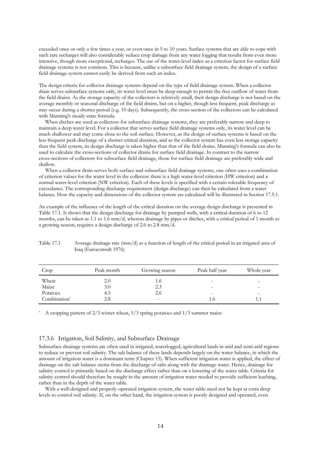exceeded once or only a few times a year, or even once in 5 to 10 years. Surface systems that are able to cope with such rare recharges will also considerably reduce crop damage from any water logging that results from even more intensive, though more exceptional, recharges. The use of the water-level index as a criterion factor for surface field drainage systems is not common. This is because, unlike a subsurface field drainage system, the design of a surface field drainage system cannot easily be derived from such an index.

The design criteria for collector drainage systems depend on the type of field drainage system. When a collector drain serves subsurface systems only, its water level must be deep enough to permit the free outflow of water from the field drains. As the storage capacity of the collectors is relatively small, their design discharge is not based on the average monthly or seasonal discharge of the field drains, but on a higher, though less frequent, peak discharge as may occur during a shorter period (e.g. 10 days). Subsequently, the cross-section of the collectors can be calculated with Manning's steady-state formula.

 When ditches are used as collectors for subsurface drainage systems, they are preferably narrow and deep to maintain a deep water level. For a collector that serves surface field drainage systems only, its water level can be much shallower and may come close to the soil surface. However, as the design of surface systems is based on the less frequent peak discharge of a shorter critical duration, and as the collector system has even less storage capacity than the field system, its design discharge is taken higher than that of the field drains. Manning's formula can also be used to calculate the cross-sections of collector drains for surface field drainage. In contrast to the narrow cross-sections of collectors for subsurface field drainage, those for surface field drainage are preferably wide and shallow.

 When a collector drain serves both surface and subsurface field drainage systems, one often uses a combination of criterion values for the water level in the collector: there is a high water-level criterion (HW criterion) and a normal water-level criterion (NW criterion). Each of these levels is specified with a certain tolerable frequency of exceedance. The corresponding discharge requirement (design discharge) can then be calculated from a water balance. How the capacity and dimensions of the collector system are calculated will be illustrated in Section 17.5.1.

An example of the influence of the length of the critical duration on the average design discharge is presented in Table 17.1. It shows that the design discharge for drainage by pumped wells, with a critical duration of 6 to 12 months, can be taken as 1.1 to 1.6 mm/d, whereas drainage by pipes or ditches, with a critical period of 1 month to a growing season, requires a design discharge of 2.6 to 2.8 mm/d.

| Crop         | Peak month | Growing season           | Peak half year           | Whole year |
|--------------|------------|--------------------------|--------------------------|------------|
| Wheat        | 2.0        | 1.0                      | ۰                        | -          |
| Maize        | 3.0        | 2.3                      | -                        | -          |
| Potatoes     | 4.5        | 2.6                      | $\overline{\phantom{a}}$ | -          |
| Combination* | 2.8        | $\overline{\phantom{a}}$ | 1.6                      |            |

Table 17.1 Average drainage rate (mm/d) as a function of length of the critical period in an irrigated area of Iraq (Euroconsult 1976)

\* A cropping pattern of 2/3 winter wheat, 1/3 spring potatoes and 1/3 summer maize

## 17.3.6 Irrigation, Soil Salinity, and Subsurface Drainage

Subsurface drainage systems are often used in irrigated, waterlogged, agricultural lands in arid and semi-arid regions to reduce or prevent soil salinity. The salt balance of these lands depends largely on the water balance, in which the amount of irrigation water is a dominant term (Chapter 15). When sufficient irrigation water is applied, the effect of drainage on the salt balance stems from the discharge of salts along with the drainage water. Hence, drainage for salinity control is primarily based on the discharge effect rather than on a lowering of the water table. Criteria for salinity control should therefore be sought in the amount of irrigation water needed to provide sufficient leaching, rather than in the depth of the water table.

With a well-designed and properly-operated irrigation system, the water table need not be kept at extra deep levels to control soil salinity. If, on the other hand, the irrigation system is poorly designed and operated, even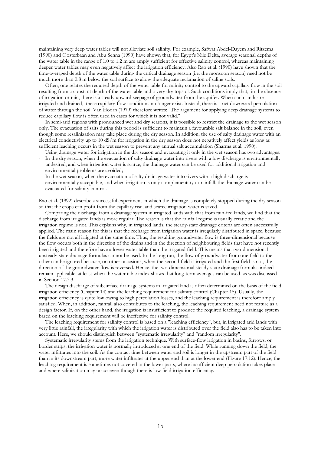maintaining very deep water tables will not alleviate soil salinity. For example, Safwat Abdel-Dayem and Ritzema (1990) and Oosterbaan and Abu Senna (1990) have shown that, for Egypt's Nile Delta, average seasonal depths of the water table in the range of 1.0 to 1.2 m are amply sufficient for effective salinity control, whereas maintaining deeper water tables may even negatively affect the irrigation efficiency. Also Rao et al. (1990) have shown that the time-averaged depth of the water table during the critical drainage season (i.e. the monsoon season) need not be much more than 0.8 m below the soil surface to allow the adequate reclamation of saline soils.

 Often, one relates the required depth of the water table for salinity control to the upward capillary flow in the soil resulting from a constant depth of the water table and a very dry topsoil. Such conditions imply that, in the absence of irrigation or rain, there is a steady upward seepage of groundwater from the aquifer. When such lands are irrigated and drained, these capillary-flow conditions no longer exist. Instead, there is a net downward percolation of water through the soil. Van Hoorn (1979) therefore writes: "The argument for applying deep drainage systems to reduce capillary flow is often used in cases for which it is not valid."

 In semi-arid regions with pronounced wet and dry seasons, it is possible to restrict the drainage to the wet season only. The evacuation of salts during this period is sufficient to maintain a favourable salt balance in the soil, even though some resalinization may take place during the dry season. In addition, the use of salty drainage water with an electrical conductivity up to 10 dS/m for irrigation in the dry season does not negatively affect yields as long as sufficient leaching occurs in the wet season to prevent any annual salt accumulation (Sharma et al. 1990).

- Using drainage water for irrigation in the dry season and evacuating it only in the wet season has two advantages: In the dry season, when the evacuation of salty drainage water into rivers with a low discharge is environmentally undesired, and when irrigation water is scarce, the drainage water can be used for additional irrigation and environmental problems are avoided;
- In the wet season, when the evacuation of salty drainage water into rivers with a high discharge is environmentally acceptable, and when irrigation is only complementary to rainfall, the drainage water can be evacuated for salinity control.

Rao et al. (1992) describe a successful experiment in which the drainage is completely stopped during the dry season so that the crops can profit from the capillary rise, and scarce irrigation water is saved.

 Comparing the discharge from a drainage system in irrigated lands with that from rain-fed lands, we find that the discharge from irrigated lands is more regular. The reason is that the rainfall regime is usually erratic and the irrigation regime is not. This explains why, in irrigated lands, the steady-state drainage criteria are often successfully applied. The main reason for this is that the recharge from irrigation water is irregularly distributed in space, because the fields are not all irrigated at the same time. Thus, the resulting groundwater flow is three-dimensional because the flow occurs both in the direction of the drains and in the direction of neighbouring fields that have not recently been irrigated and therefore have a lower water table than the irrigated field. This means that two-dimensional unsteady-state drainage formulas cannot be used. In the long run, the flow of groundwater from one field to the other can be ignored because, on other occasions, when the second field is irrigated and the first field is not, the direction of the groundwater flow is reversed. Hence, the two-dimensional steady-state drainage formulas indeed remain applicable, at least when the water table index shows that long-term averages can be used, as was discussed in Section 17.3.3.

 The design discharge of subsurface drainage systems in irrigated land is often determined on the basis of the field irrigation efficiency (Chapter 14) and the leaching requirement for salinity control (Chapter 15). Usually, the irrigation efficiency is quite low owing to high percolation losses, and the leaching requirement is therefore amply satisfied. When, in addition, rainfall also contributes to the leaching, the leaching requirement need not feature as a design factor. If, on the other hand, the irrigation is insufficient to produce the required leaching, a drainage system based on the leaching requirement will be ineffective for salinity control.

 The leaching requirement for salinity control is based on a "leaching efficiency", but, in irrigated arid lands with very little rainfall, the irregularity with which the irrigation water is distributed over the field also has to be taken into account. Here, we should distinguish between "systematic irregularity" and "random irregularity".

 Systematic irregularity stems from the irrigation technique. With surface-flow irrigation in basins, furrows, or border strips, the irrigation water is normally introduced at one end of the field. While running down the field, the water infiltrates into the soil. As the contact time between water and soil is longer in the upstream part of the field than in its downstream part, more water infiltrates at the upper end than at the lower end (Figure 17.12). Hence, the leaching requirement is sometimes not covered in the lower parts, where insufficient deep percolation takes place and where salinization may occur even though there is low field irrigation efficiency.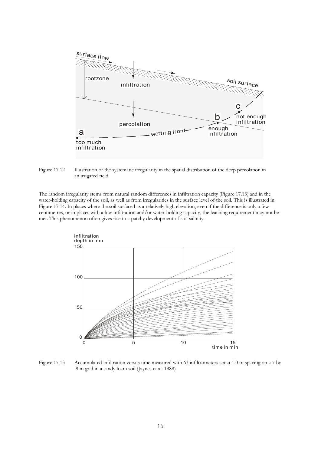

Figure 17.12 Illustration of the systematic irregularity in the spatial distribution of the deep percolation in an irrigated field

The random irregularity stems from natural random differences in infiltration capacity (Figure 17.13) and in the water-holding capacity of the soil, as well as from irregularities in the surface level of the soil. This is illustrated in Figure 17.14. In places where the soil surface has a relatively high elevation, even if the difference is only a few centimetres, or in places with a low infiltration and/or water-holding capacity, the leaching requirement may not be met. This phenomenon often gives rise to a patchy development of soil salinity.



Figure 17.13 Accumulated infiltration versus time measured with 63 infiltrometers set at 1.0 m spacing on a 7 by 9 m grid in a sandy loam soil (Jaynes et al. 1988)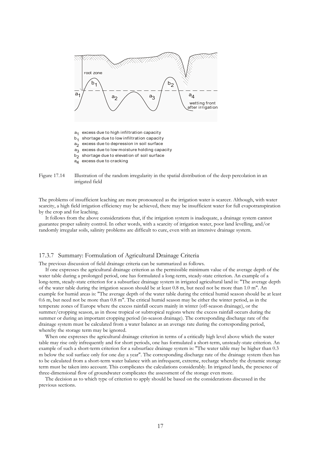

- a<sub>1</sub> excess due to high infiltration capacity
- b<sub>1</sub> shortage due to low infiltration capacity
- $a_{2}$  excess due to depression in soil surface
- a<sub>3</sub> excess due to low moisture holding capacity
- $b_{2}$  shortage due to elevation of soil surface
- a<sub>4</sub> excess due to cracking



The problems of insufficient leaching are more pronounced as the irrigation water is scarcer. Although, with water scarcity, a high field irrigation efficiency may be achieved, there may be insufficient water for full evapotranspiration by the crop and for leaching.

 It follows from the above considerations that, if the irrigation system is inadequate, a drainage system cannot guarantee proper salinity control. In other words, with a scarcity of irrigation water, poor land levelling, and/or randomly irregular soils, salinity problems are difficult to cure, even with an intensive drainage system.

#### 17.3.7 Summary: Formulation of Agricultural Drainage Criteria

The previous discussion of field drainage criteria can be summarized as follows.

 If one expresses the agricultural drainage criterion as the permissible minimum value of the average depth of the water table during a prolonged period, one has formulated a long-term, steady-state criterion. An example of a long-term, steady-state criterion for a subsurface drainage system in irrigated agricultural land is: "The average depth of the water table during the irrigation season should be at least 0.8 m, but need not be more than 1.0 m". An example for humid areas is: "The average depth of the water table during the critical humid season should be at least 0.6 m, but need not be more than 0.8 m". The critical humid season may be either the winter period, as in the temperate zones of Europe where the excess rainfall occurs mainly in winter (off-season drainage), or the summer/cropping season, as in those tropical or subtropical regions where the excess rainfall occurs during the summer or during an important cropping period (in-season drainage). The corresponding discharge rate of the drainage system must be calculated from a water balance as an average rate during the corresponding period, whereby the storage term may be ignored.

 When one expresses the agricultural drainage criterion in terms of a critically high level above which the water table may rise only infrequently and for short periods, one has formulated a short-term, unsteady-state criterion. An example of such a short-term criterion for a subsurface drainage system is: "The water table may be higher than 0.3 m below the soil surface only for one day a year". The corresponding discharge rate of the drainage system then has to be calculated from a short-term water balance with an infrequent, extreme, recharge whereby the dynamic storage term must be taken into account. This complicates the calculations considerably. In irrigated lands, the presence of three-dimensional flow of groundwater complicates the assessment of the storage even more.

 The decision as to which type of criterion to apply should be based on the considerations discussed in the previous sections.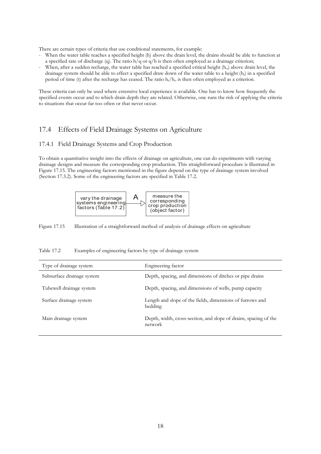There are certain types of criteria that use conditional statements, for example:

- When the water table reaches a specified height (h) above the drain level, the drains should be able to function at a specified rate of discharge (q). The ratio  $h/q$  or  $q/h$  is then often employed as a drainage criterion;
- When, after a sudden recharge, the water table has reached a specified critical height (h<sub>o</sub>) above drain level, the drainage system should be able to effect a specified draw down of the water table to a height  $(h_t)$  in a specified period of time (t) after the recharge has ceased. The ratio  $h_t/h_o$  is then often employed as a criterion.

These criteria can only be used where extensive local experience is available. One has to know how frequently the specified events occur and to which drain depth they are related. Otherwise, one runs the risk of applying the criteria to situations that occur far too often or that never occur.

# 17.4 Effects of Field Drainage Systems on Agriculture

# 17.4.1 Field Drainage Systems and Crop Production

To obtain a quantitative insight into the effects of drainage on agriculture, one can do experiments with varying drainage designs and measure the corresponding crop production. This straightforward procedure is illustrated in Figure 17.15. The engineering factors mentioned in the figure depend on the type of drainage system involved (Section 17.3.2). Some of the engineering factors are specified in Table 17.2.



Figure 17.15 Illustration of a straightforward method of analysis of drainage effects on agriculture

Table 17.2 Examples of engineering factors by type of drainage system

| Type of drainage system    | Engineering factor                                                          |
|----------------------------|-----------------------------------------------------------------------------|
| Subsurface drainage system | Depth, spacing, and dimensions of ditches or pipe drains                    |
| Tubewell drainage system   | Depth, spacing, and dimensions of wells, pump capacity                      |
| Surface drainage system    | Length and slope of the fields, dimensions of furrows and<br>bedding        |
| Main drainage system       | Depth, width, cross-section, and slope of drains, spacing of the<br>network |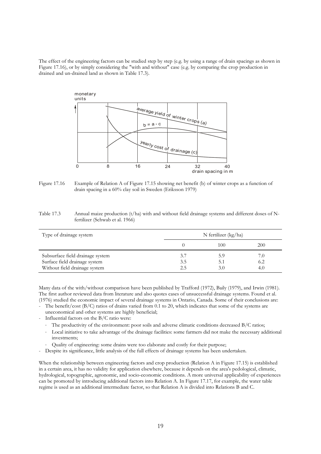The effect of the engineering factors can be studied step by step (e.g. by using a range of drain spacings as shown in Figure 17.16), or by simply considering the "with and without" case (e.g. by comparing the crop production in drained and un-drained land as shown in Table 17.3).



Figure 17.16 Example of Relation A of Figure 17.15 showing net benefit (b) of winter crops as a function of drain spacing in a 60% clay soil in Sweden (Eriksson 1979)

Table 17.3 Annual maize production (t/ha) with and without field drainage systems and different doses of Nfertilizer (Schwab et al. 1966)

| Type of drainage system                                                                            |                   | N fertilizer (kg/ha) |                   |
|----------------------------------------------------------------------------------------------------|-------------------|----------------------|-------------------|
|                                                                                                    |                   | 100                  | 200               |
| Subsurface field drainage system<br>Surface field drainage system<br>Without field drainage system | 3.7<br>3.5<br>2.5 | 5.9<br>5.1<br>3.0    | 7.0<br>6.2<br>4.0 |

Many data of the with/without comparison have been published by Trafford (1972), Baily (1979), and Irwin (1981). The first author reviewed data from literature and also quotes cases of unsuccessful drainage systems. Found et al. (1976) studied the economic impact of several drainage systems in Ontario, Canada. Some of their conclusions are:

- The benefit/cost (B/C) ratios of drains varied from 0.1 to 20, which indicates that some of the systems are
- uneconomical and other systems are highly beneficial;
- Influential factors on the B/C ratio were:
	- ⋅ The productivity of the environment: poor soils and adverse climatic conditions decreased B/C ratios;
	- Local initiative to take advantage of the drainage facilities: some farmers did not make the necessary additional investments;
	- Quality of engineering: some drains were too elaborate and costly for their purpose;
- Despite its significance, little analysis of the full effects of drainage systems has been undertaken.

When the relationship between engineering factors and crop production (Relation A in Figure 17.15) is established in a certain area, it has no validity for application elsewhere, because it depends on the area's pedological, climatic, hydrological, topographic, agronomic, and socio-economic conditions. A more universal applicability of experiences can be promoted by introducing additional factors into Relation A. In Figure 17.17, for example, the water table regime is used as an additional intermediate factor, so that Relation A is divided into Relations B and C.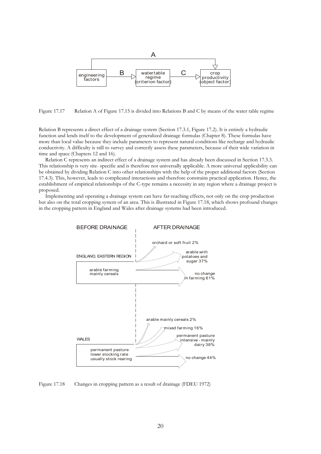

Figure 17.17 Relation A of Figure 17.15 is divided into Relations B and C by means of the water table regime

Relation B represents a direct effect of a drainage system (Section 17.3.1, Figure 17.2). It is entirely a hydraulic function and lends itself to the development of generalized drainage formulas (Chapter 8). These formulas have more than local value because they include parameters to represent natural conditions like recharge and hydraulic conductivity. A difficulty is still to survey and correctly assess these parameters, because of their wide variation in time and space (Chapters 12 and 16).

 Relation C represents an indirect effect of a drainage system and has already been discussed in Section 17.3.3. This relationship is very site- specific and is therefore not universally applicable. A more universal applicability can be obtained by dividing Relation C into other relationships with the help of the proper additional factors (Section 17.4.3). This, however, leads to complicated interactions and therefore constrains practical application. Hence, the establishment of empirical relationships of the C-type remains a necessity in any region where a drainage project is proposed.

 Implementing and operating a drainage system can have far-reaching effects, not only on the crop production but also on the total cropping system of an area. This is illustrated in Figure 17.18, which shows profound changes in the cropping pattern in England and Wales after drainage systems had been introduced.



Figure 17.18 Changes in cropping pattern as a result of drainage (FDEU 1972)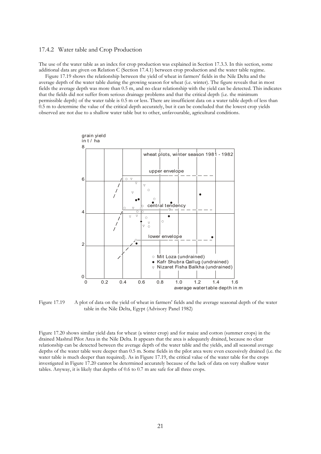## 17.4.2 Water table and Crop Production

The use of the water table as an index for crop production was explained in Section 17.3.3. In this section, some additional data are given on Relation C (Section 17.4.1) between crop production and the water table regime.

 Figure 17.19 shows the relationship between the yield of wheat in farmers' fields in the Nile Delta and the average depth of the water table during the growing season for wheat (i.e. winter). The figure reveals that in most fields the average depth was more than 0.5 m, and no clear relationship with the yield can be detected. This indicates that the fields did not suffer from serious drainage problems and that the critical depth (i.e. the minimum permissible depth) of the water table is 0.5 m or less. There are insufficient data on a water table depth of less than 0.5 m to determine the value of the critical depth accurately, but it can be concluded that the lowest crop yields observed are not due to a shallow water table but to other, unfavourable, agricultural conditions.



Figure 17.19 A plot of data on the yield of wheat in farmers' fields and the average seasonal depth of the water table in the Nile Delta, Egypt (Advisory Panel 1982)

Figure 17.20 shows similar yield data for wheat (a winter crop) and for maize and cotton (summer crops) in the drained Mashtul Pilot Area in the Nile Delta. It appears that the area is adequately drained, because no clear relationship can be detected between the average depth of the water table and the yields, and all seasonal average depths of the water table were deeper than 0.5 m. Some fields in the pilot area were even excessively drained (i.e. the water table is much deeper than required). As in Figure 17.19, the critical value of the water table for the crops investigated in Figure 17.20 cannot be determined accurately because of the lack of data on very shallow water tables. Anyway, it is likely that depths of 0.6 to 0.7 m are safe for all three crops.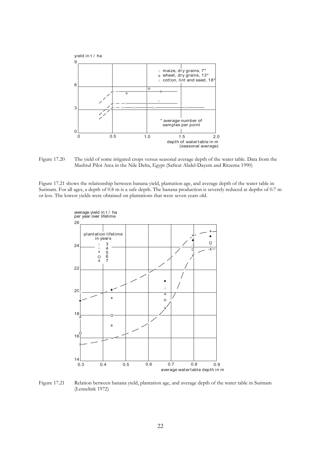

Figure 17.20 The yield of some irrigated crops versus seasonal average depth of the water table. Data from the Mashtul Pilot Area in the Nile Delta, Egypt (Safwat Abdel-Dayem and Ritzema 1990)

Figure 17.21 shows the relationship between banana yield, plantation age, and average depth of the water table in Surinam. For all ages, a depth of 0.8 m is a safe depth. The banana production is severely reduced at depths of 0.7 m or less. The lowest yields were obtained on plantations that were seven years old.



Figure 17.21 Relation between banana yield, plantation age, and average depth of the water table in Surinam (Lenselink 1972)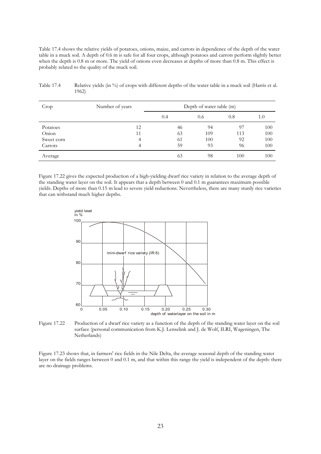Table 17.4 shows the relative yields of potatoes, onions, maize, and carrots in dependence of the depth of the water table in a muck soil. A depth of 0.6 m is safe for all four crops, although potatoes and carrots perform slightly better when the depth is 0.8 m or more. The yield of onions even decreases at depths of more than 0.8 m. This effect is probably related to the quality of the muck soil.

| Crop       | Number of years | Depth of water table (m) |     |     |     |
|------------|-----------------|--------------------------|-----|-----|-----|
|            |                 | 0.4                      | 0.6 | 0.8 | 1.0 |
| Potatoes   | 12              | 46                       | 94  | 97  | 100 |
| Onion      | 11              | 63                       | 109 | 113 | 100 |
| Sweet corn | 4               | 61                       | 100 | 92  | 100 |
| Carrots    | 4               | 59                       | 93  | 96  | 100 |
| Average    |                 | 63                       | 98  | 100 | 100 |

| Table 17.4 | Relative yields (in %) of crops with different depths of the water table in a muck soil (Harris et al. |
|------------|--------------------------------------------------------------------------------------------------------|
|            | 1962)                                                                                                  |

Figure 17.22 gives the expected production of a high-yielding dwarf rice variety in relation to the average depth of the standing water layer on the soil. It appears that a depth between 0 and 0.1 m guarantees maximum possible yields. Depths of more than 0.15 m lead to severe yield reductions. Nevertheless, there are many sturdy rice varieties that can withstand much higher depths.



Figure 17.22 Production of a dwarf rice variety as a function of the depth of the standing water layer on the soil surface (personal communication from K.J. Lenselink and J. de Wolf, ILRI, Wageningen, The Netherlands)

Figure 17.23 shows that, in farmers' rice fields in the Nile Delta, the average seasonal depth of the standing water layer on the fields ranges between 0 and 0.1 m, and that within this range the yield is independent of the depth: there are no drainage problems.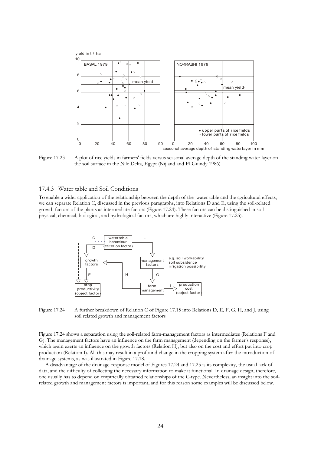

Figure 17.23 A plot of rice yields in farmers' fields versus seasonal average depth of the standing water layer on the soil surface in the Nile Delta, Egypt (Nijland and El Guindy 1986)

### 17.4.3 Water table and Soil Conditions

To enable a wider application of the relationship between the depth of the water table and the agricultural effects, we can separate Relation C, discussed in the previous paragraphs, into Relations D and E, using the soil-related growth factors of the plants as intermediate factors (Figure 17.24). These factors can be distinguished in soil physical, chemical, biological, and hydrological factors, which are highly interactive (Figure 17.25).



Figure 17.24 A further breakdown of Relation C of Figure 17.15 into Relations D, E, F, G, H, and J, using soil related growth and management factors

Figure 17.24 shows a separation using the soil-related farm-management factors as intermediates (Relations F and G). The management factors have an influence on the farm management (depending on the farmer's response), which again exerts an influence on the growth factors (Relation H), but also on the cost and effort put into crop production (Relation I). All this may result in a profound change in the cropping system after the introduction of drainage systems, as was illustrated in Figure 17.18.

 A disadvantage of the drainage-response model of Figures 17.24 and 17.25 is its complexity, the usual lack of data, and the difficulty of collecting the necessary information to make it functional. In drainage design, therefore, one usually has to depend on empirically obtained relationships of the C-type. Nevertheless, an insight into the soilrelated growth and management factors is important, and for this reason some examples will be discussed below.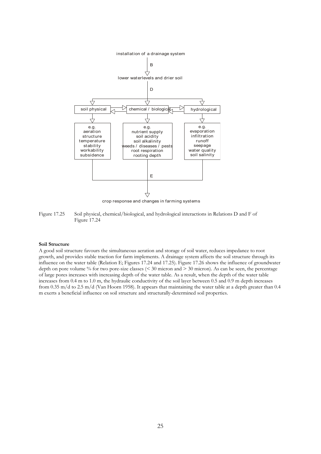

crop response and changes in farming systems

Figure 17.25 Soil physical, chemical/biological, and hydrological interactions in Relations D and F of Figure 17.24

## **Soil Structure**

A good soil structure favours the simultaneous aeration and storage of soil water, reduces impedance to root growth, and provides stable traction for farm implements. A drainage system affects the soil structure through its influence on the water table (Relation E; Figures 17.24 and 17.25). Figure 17.26 shows the influence of groundwater depth on pore volume % for two pore-size classes (< 30 micron and > 30 micron). As can be seen, the percentage of large pores increases with increasing depth of the water table. As a result, when the depth of the water table increases from 0.4 m to 1.0 m, the hydraulic conductivity of the soil layer between 0.5 and 0.9 m depth increases from 0.35 m/d to 2.5 m/d (Van Hoorn 1958). It appears that maintaining the water table at a depth greater than 0.4 m exerts a beneficial influence on soil structure and structurally-determined soil properties.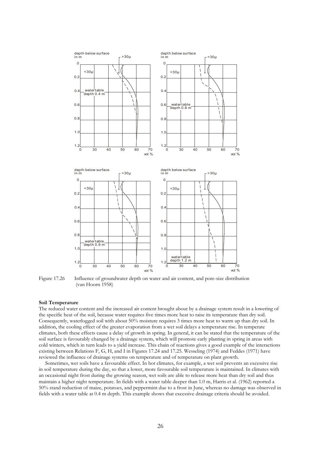



Influence of groundwater depth on water and air content, and pore-size distribution (van Hoorn 1958)

#### **Soil Temperature**

The reduced water content and the increased air content brought about by a drainage system result in a lowering of the specific heat of the soil, because water requires five times more heat to raise its temperature than dry soil. Consequently, waterlogged soil with about 50% moisture requires 3 times more heat to warm up than dry soil. In addition, the cooling effect of the greater evaporation from a wet soil delays a temperature rise. In temperate climates, both these effects cause a delay of growth in spring. In general, it can be stated that the temperature of the soil surface is favourably changed by a drainage system, which will promote early planting in spring in areas with cold winters, which in turn leads to a yield increase. This chain of reactions gives a good example of the interactions existing between Relations F, G, H, and I in Figures 17.24 and 17.25. Wesseling (1974) and Feddes (1971) have reviewed the influence of drainage systems on temperature and of temperature on plant growth.

 Sometimes, wet soils have a favourable effect. In hot climates, for example, a wet soil prevents an excessive rise in soil temperature during the day, so that a lower, more favourable soil temperature is maintained. In climates with an occasional night frost during the growing season, wet soils are able to release more heat than dry soil and thus maintain a higher night temperature. In fields with a water table deeper than 1.0 m, Harris et al. (1962) reported a 50% stand reduction of maize, potatoes, and peppermint due to a frost in June, whereas no damage was observed in fields with a water table at 0.4 m depth. This example shows that excessive drainage criteria should be avoided.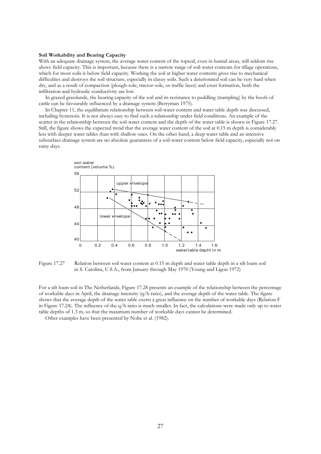#### **Soil Workability and Bearing Capacity**

With an adequate drainage system, the average water content of the topsoil, even in humid areas, will seldom rise above field capacity. This is important, because there is a narrow range of soil-water contents for tillage operations, which for most soils is below field capacity. Working the soil at higher water contents gives rise to mechanical difficulties and destroys the soil structure, especially in clayey soils. Such a deteriorated soil can be very hard when dry, and as a result of compaction (plough-sole, tractor-sole, or traffic layer) and crust formation, both the infiltration and hydraulic conductivity are low.

 In grazed grasslands, the bearing capacity of the soil and its resistance to puddling (trampling) by the hoofs of cattle can be favourably influenced by a drainage system (Berryman 1975).

 In Chapter 11, the equilibrium relationship between soil-water content and water table depth was discussed, including hysteresis. It is not always easy to find such a relationship under field conditions. An example of the scatter in the relationship between the soil-water content and the depth of the water table is shown in Figure 17.27. Still, the figure shows the expected trend that the average water content of the soil at 0.15 m depth is considerably less with deeper water tables than with shallow ones. On the other hand, a deep water table and an intensive subsurface drainage system are no absolute guarantees of a soil-water content below field capacity, especially not on rainy days.



Figure 17.27 Relation between soil water content at 0.15 m depth and water table depth in a silt loam soil in S. Carolina, U.S.A., from January through May 1970 (Young and Ligon 1972)

For a silt loam soil in The Netherlands, Figure 17.28 presents an example of the relationship between the percentage of workable days in April, the drainage intensity (q/h ratio), and the average depth of the water table. The figure shows that the average depth of the water table exerts a great influence on the number of workable days (Relation F in Figure 17.24). The influence of the q/h ratio is much smaller. In fact, the calculations were made only up to water table depths of 1.3 m, so that the maximum number of workable days cannot be determined.

Other examples have been presented by Nolte et al. (1982).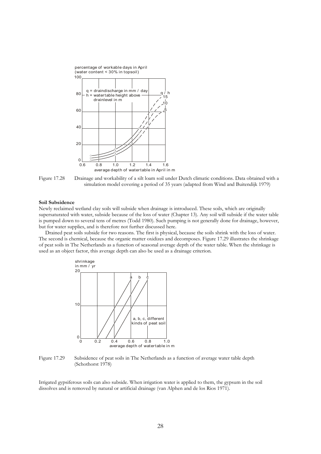



#### **Soil Subsidence**

Newly reclaimed wetland clay soils will subside when drainage is introduced. These soils, which are originally supersaturated with water, subside because of the loss of water (Chapter 13). Any soil will subside if the water table is pumped down to several tens of metres (Todd 1980). Such pumping is not generally done for drainage, however, but for water supplies, and is therefore not further discussed here.

 Drained peat soils subside for two reasons. The first is physical, because the soils shrink with the loss of water. The second is chemical, because the organic matter oxidizes and decomposes. Figure 17.29 illustrates the shrinkage of peat soils in The Netherlands as a function of seasonal average depth of the water table. When the shrinkage is used as an object factor, this average depth can also be used as a drainage criterion.





Irrigated gypsiferous soils can also subside. When irrigation water is applied to them, the gypsum in the soil dissolves and is removed by natural or artificial drainage (van Alphen and de los Rios 1971).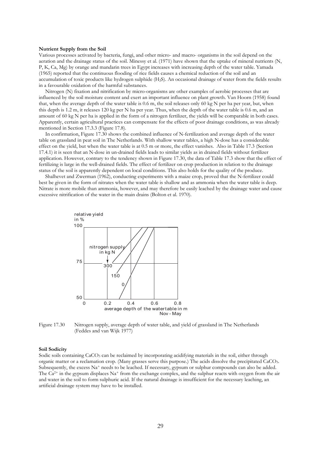#### **Nutrient Supply from the Soil**

Various processes activated by bacteria, fungi, and other micro- and macro- organisms in the soil depend on the aeration and the drainage status of the soil. Minessy et al. (1971) have shown that the uptake of mineral nutrients (N, P, K, Ca, Mg) by orange and mandarin trees in Egypt increases with increasing depth of the water table. Yamada (1965) reported that the continuous flooding of rice fields causes a chemical reduction of the soil and an accumulation of toxic products like hydrogen sulphide (H2S). An occasional drainage of water from the fields results in a favourable oxidation of the harmful substances.

 Nitrogen (N) fixation and nitrification by micro-organisms are other examples of aerobic processes that are influenced by the soil moisture content and exert an important influence on plant growth. Van Hoorn (1958) found that, when the average depth of the water table is 0.6 m, the soil releases only 60 kg N per ha per year, but, when this depth is 1.2 m, it releases 120 kg per N ha per year. Thus, when the depth of the water table is 0.6 m, and an amount of 60 kg N per ha is applied in the form of a nitrogen fertilizer, the yields will be comparable in both cases. Apparently, certain agricultural practices can compensate for the effects of poor drainage conditions, as was already mentioned in Section 17.3.3 (Figure 17.8).

 In confirmation, Figure 17.30 shows the combined influence of N-fertilization and average depth of the water table on grassland in peat soil in The Netherlands. With shallow water tables, a high N-dose has a considerable effect on the yield, but when the water table is at 0.5 m or more, the effect vanishes. Also in Table 17.3 (Section 17.4.1) it is seen that an N-dose in un-drained fields leads to similar yields as in drained fields without fertilizer application. However, contrary to the tendency shown in Figure 17.30, the data of Table 17.3 show that the effect of fertilizing is large in the well-drained fields. The effect of fertilizer on crop production in relation to the drainage status of the soil is apparently dependent on local conditions. This also holds for the quality of the produce.

 Shalhevet and Zwerman (1962), conducting experiments with a maize crop, proved that the N-fertilizer could best be given in the form of nitrates when the water table is shallow and as ammonia when the water table is deep. Nitrate is more mobile than ammonia, however, and may therefore be easily leached by the drainage water and cause excessive nitrification of the water in the main drains (Bolton et al. 1970).



Figure 17.30 Nitrogen supply, average depth of water table, and yield of grassland in The Netherlands (Feddes and van Wijk 1977)

#### **Soil Sodicity**

Sodic soils containing CaCO<sub>3</sub> can be reclaimed by incorporating acidifying materials in the soil, either through organic matter or a reclamation crop. (Many grasses serve this purpose.) The acids dissolve the precipitated CaCO3. Subsequently, the excess  $\text{Na}^+$  needs to be leached. If necessary, gypsum or sulphur compounds can also be added. The  $Ca^{2+}$  in the gypsum displaces Na<sup>+</sup> from the exchange complex, and the sulphur reacts with oxygen from the air and water in the soil to form sulphuric acid. If the natural drainage is insufficient for the necessary leaching, an artificial drainage system may have to be installed.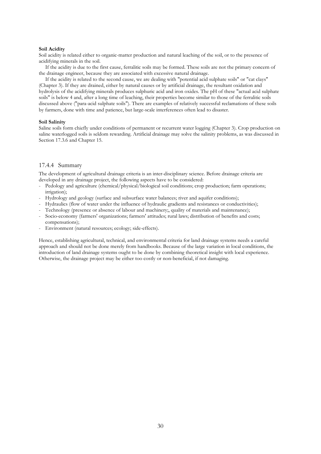#### **Soil Acidity**

Soil acidity is related either to organic-matter production and natural leaching of the soil, or to the presence of acidifying minerals in the soil.

 If the acidity is due to the first cause, ferralitic soils may be formed. These soils are not the primary concern of the drainage engineer, because they are associated with excessive natural drainage.

 If the acidity is related to the second cause, we are dealing with "potential acid sulphate soils" or "cat clays" (Chapter 3). If they are drained, either by natural causes or by artificial drainage, the resultant oxidation and hydrolysis of the acidifying minerals produces sulphuric acid and iron oxides. The pH of these "actual acid sulphate soils" is below 4 and, after a long time of leaching, their properties become similar to those of the ferralitic soils discussed above ("para-acid sulphate soils"). There are examples of relatively successful reclamations of these soils by farmers, done with time and patience, but large-scale interferences often lead to disaster.

#### **Soil Salinity**

Saline soils form chiefly under conditions of permanent or recurrent water logging (Chapter 3). Crop production on saline waterlogged soils is seldom rewarding. Artificial drainage may solve the salinity problems, as was discussed in Section 17.3.6 and Chapter 15.

# 17.4.4 Summary

The development of agricultural drainage criteria is an inter-disciplinary science. Before drainage criteria are developed in any drainage project, the following aspects have to be considered:

- Pedology and agriculture (chemical/physical/biological soil conditions; crop production; farm operations; irrigation);
- Hydrology and geology (surface and subsurface water balances; river and aquifer conditions);
- Hydraulics (flow of water under the influence of hydraulic gradients and resistances or conductivities);
- Technology (presence or absence of labour and machinery;, quality of materials and maintenance);
- Socio-economy (farmers' organizations; farmers' attitudes; rural laws; distribution of benefits and costs; compensations);
- Environment (natural resources; ecology; side-effects).

Hence, establishing agricultural, technical, and environmental criteria for land drainage systems needs a careful approach and should not be done merely from handbooks. Because of the large variation in local conditions, the introduction of land drainage systems ought to be done by combining theoretical insight with local experience. Otherwise, the drainage project may be either too costly or non-beneficial, if not damaging.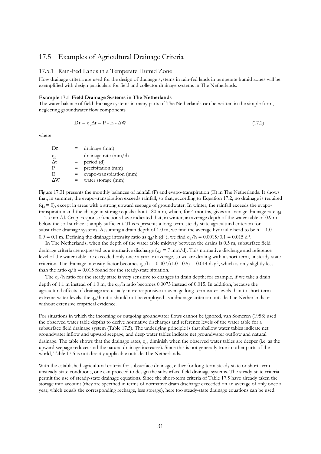# 17.5 Examples of Agricultural Drainage Criteria

# 17.5.1 Rain-Fed Lands in a Temperate Humid Zone

How drainage criteria are used for the design of drainage systems in rain-fed lands in temperate humid zones will be exemplified with design particulars for field and collector drainage systems in The Netherlands.

#### **Example 17.1 Field Drainage Systems in The Netherlands**

The water balance of field drainage systems in many parts of The Netherlands can be written in the simple form, neglecting groundwater flow components

$$
Dr = q_d \Delta t = P - E - \Delta W \tag{17.2}
$$

where:

 $Dr = \text{drainage (mm)}$  $\frac{q_d}{\Delta t}$  $=$  drainage rate (mm/d)  $=$  period (d)  $P = \text{precipitation (mm)}$ <br>  $E = \text{evano-transpiration}$  $=$  evapo-transpiration (mm)  $\Delta W$  = water storage (mm)

Figure 17.31 presents the monthly balances of rainfall (P) and evapo-transpiration (E) in The Netherlands. It shows that, in summer, the evapo-transpiration exceeds rainfall, so that, according to Equation 17.2, no drainage is required  $(q_d = 0)$ , except in areas with a strong upward seepage of groundwater. In winter, the rainfall exceeds the evapotranspiration and the change in storage equals about 180 mm, which, for 4 months, gives an average drainage rate  $q_d$  $= 1.5$  mm/d. Crop- response functions have indicated that, in winter, an average depth of the water table of 0.9 m below the soil surface is amply sufficient. This represents a long-term, steady state agricultural criterion for subsurface drainage systems. Assuming a drain depth of 1.0 m, we find the average hydraulic head to be  $h = 1.0$  - $0.9 = 0.1$  m. Defining the drainage intensity ratio as  $q_d/h$  (d<sup>-1</sup>), we find  $q_d/h = 0.0015/0.1 = 0.015$  d<sup>-1</sup>.

 In The Netherlands, when the depth of the water table midway between the drains is 0.5 m, subsurface field drainage criteria are expressed as a normative discharge  $(q_d = 7 \text{ mm/d})$ . This normative discharge and reference level of the water table are exceeded only once a year on average, so we are dealing with a short-term, unsteady-state criterion. The drainage intensity factor becomes  $q_d/h = 0.007/(1.0 - 0.5) = 0.014 \text{ day}^1$ , which is only slightly less than the ratio  $q/h = 0.015$  found for the steady-state situation.

The  $q_d/h$  ratio for the steady state is very sensitive to changes in drain depth; for example, if we take a drain depth of 1.1 m instead of 1.0 m, the  $q_d/h$  ratio becomes 0.0075 instead of 0.015. In addition, because the agricultural effects of drainage are usually more responsive to average long-term water levels than to short-term extreme water levels, the q<sub>d</sub>/h ratio should not be employed as a drainage criterion outside The Netherlands or without extensive empirical evidence.

For situations in which the incoming or outgoing groundwater flows cannot be ignored, van Someren (1958) used the observed water table depths to derive normative discharges and reference levels of the water table for a subsurface field drainage system (Table 17.5). The underlying principle is that shallow water tables indicate net groundwater inflow and upward seepage, and deep water tables indicate net groundwater outflow and natural drainage. The table shows that the drainage rates, q<sub>d</sub>, diminish when the observed water tables are deeper (i.e. as the upward seepage reduces and the natural drainage increases). Since this is not generally true in other parts of the world, Table 17.5 is not directly applicable outside The Netherlands.

With the established agricultural criteria for subsurface drainage, either for long-term steady state or short-term unsteady-state conditions, one can proceed to design the subsurface field drainage systems. The steady-state criteria permit the use of steady-state drainage equations. Since the short-term criteria of Table 17.5 have already taken the storage into account (they are specified in terms of normative drain discharge exceeded on an average of only once a year, which equals the corresponding recharge, less storage), here too steady-state drainage equations can be used.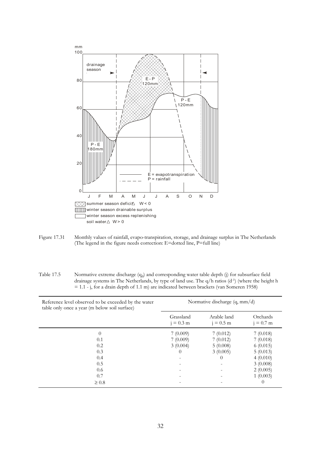

Figure 17.31 Monthly values of rainfall, evapo-transpiration, storage, and drainage surplus in The Netherlands (The legend in the figure needs correction: E=dotted line, P=full line)

Table 17.5 Normative extreme discharge  $(q_d)$  and corresponding water table depth (j) for subsurface field drainage systems in The Netherlands, by type of land use. The q/h ratios (d-1) (where the height h = 1.1 - j, for a drain depth of 1.1 m) are indicated between brackets (van Someren 1958)

| Reference level observed to be exceeded by the water<br>table only once a year (m below soil surface) | Normative discharge $(q, mm/d)$ |                          |                         |  |
|-------------------------------------------------------------------------------------------------------|---------------------------------|--------------------------|-------------------------|--|
|                                                                                                       | Grassland<br>$i = 0.3$ m        | Arable land<br>$= 0.5$ m | Orchards<br>$i = 0.7$ m |  |
| $\Omega$                                                                                              | 7(0.009)                        | 7(0.012)                 | 7(0.018)                |  |
| 0.1                                                                                                   | 7(0.009)                        | 7(0.012)                 | 7(0.018)                |  |
| 0.2                                                                                                   | 3(0.004)                        | 5(0.008)                 | 6(0.015)                |  |
| 0.3                                                                                                   | $\theta$                        | 3(0.005)                 | 5(0.013)                |  |
| 0.4                                                                                                   |                                 | 0                        | 4(0.010)                |  |
| 0.5                                                                                                   |                                 |                          | 3(0.008)                |  |
| 0.6                                                                                                   |                                 |                          | 2(0.005)                |  |
| 0.7                                                                                                   |                                 |                          | 1(0.003)                |  |
| $\geq 0.8$                                                                                            |                                 |                          | $\theta$                |  |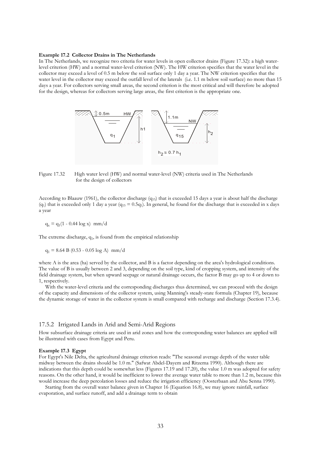#### **Example 17.2 Collector Drains in The Netherlands**

In The Netherlands, we recognize two criteria for water levels in open collector drains (Figure 17.32): a high waterlevel criterion (HW) and a normal water-level criterion (NW). The HW criterion specifies that the water level in the collector may exceed a level of 0.5 m below the soil surface only 1 day a year. The NW criterion specifies that the water level in the collector may exceed the outfall level of the laterals (i.e. 1.1 m below soil surface) no more than 15 days a year. For collectors serving small areas, the second criterion is the most critical and will therefore be adopted for the design, whereas for collectors serving large areas, the first criterion is the appropriate one.



Figure 17.32 High water level (HW) and normal water-level (NW) criteria used in The Netherlands for the design of collectors

According to Blaauw (1961), the collector discharge  $(q_{15})$  that is exceeded 15 days a year is about half the discharge (q<sub>1</sub>) that is exceeded only 1 day a year (q<sub>15</sub> =  $0.5q_1$ ). In general, he found for the discharge that is exceeded in x days a year

 $q_x = q_1(1 - 0.44 \log x)$  mm/d

The extreme discharge,  $q_1$ , is found from the empirical relationship

 $q_1 = 8.64 B (0.53 - 0.05 \log A)$  mm/d

where A is the area (ha) served by the collector, and B is a factor depending on the area's hydrological conditions. The value of B is usually between 2 and 3, depending on the soil type, kind of cropping system, and intensity of the field drainage system, but when upward seepage or natural drainage occurs, the factor B may go up to 4 or down to 1, respectively.

 With the water-level criteria and the corresponding discharges thus determined, we can proceed with the design of the capacity and dimensions of the collector system, using Manning's steady-state formula (Chapter 19), because the dynamic storage of water in the collector system is small compared with recharge and discharge (Section 17.3.4).

## 17.5.2 Irrigated Lands in Arid and Semi-Arid Regions

How subsurface drainage criteria are used in arid zones and how the corresponding water balances are applied will be illustrated with cases from Egypt and Peru.

#### **Example 17.3 Egypt**

For Egypt's Nile Delta, the agricultural drainage criterion reads: "The seasonal average depth of the water table midway between the drains should be 1.0 m." (Safwat Abdel-Dayem and Ritzema 1990). Although there are indications that this depth could be somewhat less (Figures 17.19 and 17.20), the value 1.0 m was adopted for safety reasons. On the other hand, it would be inefficient to lower the average water table to more than 1.2 m, because this would increase the deep percolation losses and reduce the irrigation efficiency (Oosterbaan and Abu Senna 1990).

 Starting from the overall water balance given in Chapter 16 (Equation 16.8), we may ignore rainfall, surface evaporation, and surface runoff, and add a drainage term to obtain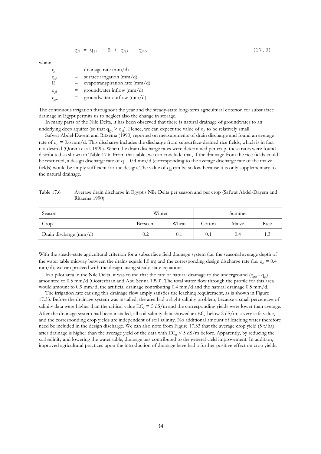$$
q_d = q_{si} - E + q_{gi} - q_{go}
$$
 (17.3)

where

 $q_d$ drainage rate (mm/d)  $\frac{q_{s}i}{E}$  $=$  surface irrigation (mm/d)  $=$  evapotranspiration rate (mm/d)  $q_{gi}$  = groundwater inflow (mm/d)  $q_{\text{go}}$  = groundwater outflow (mm/d)

The continuous irrigation throughout the year and the steady-state long-term agricultural criterion for subsurface drainage in Egypt permits us to neglect also the change in storage.

 In many parts of the Nile Delta, it has been observed that there is natural drainage of groundwater to an underlying deep aquifer (so that  $q_{go} > q_{gi}$ ). Hence, we can expect the value of  $q_d$  to be relatively small.

 Safwat Abdel-Dayem and Ritzema (1990) reported on measurements of drain discharge and found an average rate of  $q_d = 0.6$  mm/d. This discharge includes the discharge from subsurface-drained rice fields, which is in fact not desired (Qorani et al. 1990). When the drain discharge rates were determined per crop, these rates were found distributed as shown in Table 17.6. From that table, we can conclude that, if the drainage from the rice fields could be restricted, a design discharge rate of  $q = 0.4$  mm/d (corresponding to the average discharge rate of the maize fields) would be amply sufficient for the design. The value of  $q_d$  can be so low because it is only supplementary to the natural drainage.

Table 17.6 Average drain discharge in Egypt's Nile Delta per season and per crop (Safwat Abdel-Dayem and Ritzema 1990)

| Season                 | Winter  |                  |        | Summer |      |
|------------------------|---------|------------------|--------|--------|------|
| Crop                   | Berseem | Wheat            | Cotton | Maize  | Rice |
| Drain discharge (mm/d) | 0.2     | $0.\overline{1}$ | 0.1    | 0.4    | 1.3  |

With the steady-state agricultural criterion for a subsurface field drainage system (i.e. the seasonal average depth of the water table midway between the drains equals 1.0 m) and the corresponding design discharge rate (i.e.  $q_d = 0.4$ mm/d), we can proceed with the design, using steady-state equations.

In a pilot area in the Nile Delta, it was found that the rate of natural drainage to the underground  $(q_{go} - q_{gi})$ amounted to 0.5 mm/d (Oosterbaan and Abu Senna 1990). The total water flow through the profile for this area would amount to 0.9 mm/d, the artificial drainage contributing 0.4 mm/d and the natural drainage 0.5 mm/d.

 The irrigation rate causing this drainage flow amply satisfies the leaching requirement, as is shown in Figure 17.33. Before the drainage system was installed, the area had a slight salinity problem, because a small percentage of salinity data were higher than the critical value  $EC_e = 5$  dS/m and the corresponding yields were lower than average. After the drainage system had been installed, all soil salinity data showed an  $EC_e$  below 2 dS/m, a very safe value, and the corresponding crop yields are independent of soil salinity. No additional amount of leaching water therefore need be included in the design discharge. We can also note from Figure 17.33 that the average crop yield (5 t/ha) after drainage is higher than the average yield of the data with  $EC_e < 5$  dS/m before. Apparently, by reducing the soil salinity and lowering the water table, drainage has contributed to the general yield improvement. In addition, improved agricultural practices upon the introduction of drainage have had a further positive effect on crop yields.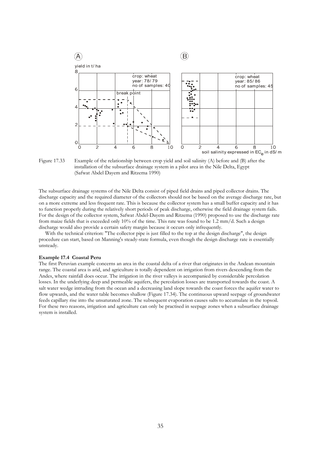

Figure 17.33 Example of the relationship between crop yield and soil salinity (A) before and (B) after the installation of the subsurface drainage system in a pilot area in the Nile Delta, Egypt (Safwat Abdel Dayem and Ritzema 1990)

The subsurface drainage systems of the Nile Delta consist of piped field drains and piped collector drains. The discharge capacity and the required diameter of the collectors should not be based on the average discharge rate, but on a more extreme and less frequent rate. This is because the collector system has a small buffer capacity and it has to function properly during the relatively short periods of peak discharge, otherwise the field drainage system fails. For the design of the collector system, Safwat Abdel-Dayem and Ritzema (1990) proposed to use the discharge rate from maize fields that is exceeded only 10% of the time. This rate was found to be 1.2 mm/d. Such a design discharge would also provide a certain safety margin because it occurs only infrequently.

With the technical criterion: "The collector pipe is just filled to the top at the design discharge", the design procedure can start, based on Manning's steady-state formula, even though the design discharge rate is essentially unsteady.

#### **Example 17.4 Coastal Peru**

The first Peruvian example concerns an area in the coastal delta of a river that originates in the Andean mountain range. The coastal area is arid, and agriculture is totally dependent on irrigation from rivers descending from the Andes, where rainfall does occur. The irrigation in the river valleys is accompanied by considerable percolation losses. In the underlying deep and permeable aquifers, the percolation losses are transported towards the coast. A salt water wedge intruding from the ocean and a decreasing land slope towards the coast forces the aquifer water to flow upwards, and the water table becomes shallow (Figure 17.34). The continuous upward seepage of groundwater feeds capillary rise into the unsaturated zone. The subsequent evaporation causes salts to accumulate in the topsoil. For these two reasons, irrigation and agriculture can only be practised in seepage zones when a subsurface drainage system is installed.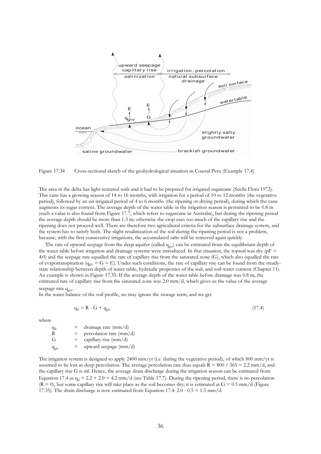

Figure 17.34 Cross-sectional sketch of the geohydrological situation in Coastal Peru (Example 17.4)

The area in the delta has light-textured soils and it had to be prepared for irrigated sugarcane (Suclla Flora 1972). This cane has a growing season of 14 to 16 months, with irrigation for a period of 10 to 12 months (the vegetative period), followed by an un-irrigated period of 4 to 6 months (the ripening or drying period), during which the cane augments its sugar content. The average depth of the water table in the irrigation season is permitted to be 0.8 m (such a value is also found from Figure 17.7, which refers to sugarcane in Australia), but during the ripening period the average depth should be more than 1.3 m; otherwise the crop uses too much of the capillary rise and the ripening does not proceed well. There are therefore two agricultural criteria for the subsurface drainage system, and the system has to satisfy both. The slight resalinization of the soil during the ripening period is not a problem, because, with the first consecutive irrigations, the accumulated salts will be removed again quickly.

The rate of upward seepage from the deep aquifer (called q<sub>giv</sub>) can be estimated from the equilibrium depth of the water table before irrigation and drainage systems were introduced. In that situation, the topsoil was dry ( $pF =$ 4.0) and the seepage rate equalled the rate of capillary rise from the saturated zone (G), which also equalled the rate of evapotranspiration ( $q_{\text{giv}} = G = E$ ). Under such conditions, the rate of capillary rise can be found from the steadystate relationship between depth of water table, hydraulic properties of the soil, and soil-water content (Chapter 11). An example is shown in Figure 17.35. If the average depth of the water table before drainage was 0.8 m, the estimated rate of capillary rise from the saturated zone was 2.0 mm/d, which gives us the value of the average seepage rate  $q_{\text{oiv}}$ .

In the water balance of the soil profile, we may ignore the storage term, and we get

$$
q_d = R - G + q_{\text{giv}} \tag{17.4}
$$

where

 $\frac{q_d}{R}$  $=$  drainage rate (mm/d) R = percolation rate (mm/d)<br>
G = capillary rise (mm/d)  $=$  capillary rise (mm/d)  $q_{\text{ov}}$  = upward seepage (mm/d)

The irrigation system is designed to apply 2400 mm/yr (i.e. during the vegetative period), of which 800 mm/yr is assumed to be lost as deep percolation. The average percolation rate thus equals  $R = 800 / 365 = 2.2$  mm/d, and the capillary rise G is nil. Hence, the average drain discharge during the irrigation season can be estimated from Equation 17.4 as  $q_d = 2.2 + 2.0 = 4.2$  mm/d (see Table 17.7). During the ripening period, there is no percolation  $(R = 0)$ , but some capillary rise will take place as the soil becomes dry; it is estimated at  $G = 0.5$  mm/d (Figure 17.35). The drain discharge is now estimated from Equation 17.4:  $2.0 - 0.5 = 1.5$  mm/d.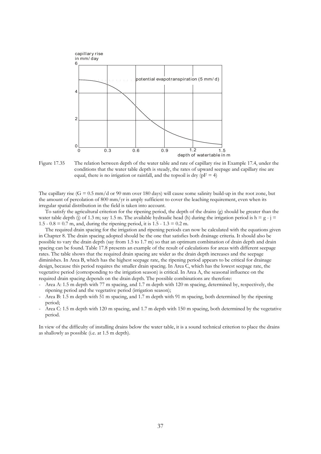

Figure 17.35 The relation between depth of the water table and rate of capillary rise in Example 17.4, under the conditions that the water table depth is steady, the rates of upward seepage and capillary rise are equal, there is no irrigation or rainfall, and the topsoil is dry ( $pF = 4$ )

The capillary rise  $(G = 0.5 \text{ mm/d or } 90 \text{ mm over } 180 \text{ days})$  will cause some salinity build-up in the root zone, but the amount of percolation of 800 mm/yr is amply sufficient to cover the leaching requirement, even when its irregular spatial distribution in the field is taken into account.

 To satisfy the agricultural criterion for the ripening period, the depth of the drains (g) should be greater than the water table depth (j) of 1.3 m; say 1.5 m. The available hydraulic head (h) during the irrigation period is  $h = g - j =$ 1.5 -  $0.8 = 0.7$  m, and, during the ripening period, it is  $1.5 - 1.3 = 0.2$  m.

 The required drain spacing for the irrigation and ripening periods can now be calculated with the equations given in Chapter 8. The drain spacing adopted should be the one that satisfies both drainage criteria. It should also be possible to vary the drain depth (say from 1.5 to 1.7 m) so that an optimum combination of drain depth and drain spacing can be found. Table 17.8 presents an example of the result of calculations for areas with different seepage rates. The table shows that the required drain spacing are wider as the drain depth increases and the seepage diminishes. In Area B, which has the highest seepage rate, the ripening period appears to be critical for drainage design, because this period requires the smaller drain spacing. In Area C, which has the lowest seepage rate, the vegetative period (corresponding to the irrigation season) is critical. In Area A, the seasonal influence on the required drain spacing depends on the drain depth. The possible combinations are therefore:

- Area A: 1.5 m depth with 77 m spacing, and 1.7 m depth with 120 m spacing, determined by, respectively, the ripening period and the vegetative period (irrigation season);
- Area B: 1.5 m depth with 51 m spacing, and 1.7 m depth with 91 m spacing, both determined by the ripening period;
- Area C: 1.5 m depth with 120 m spacing, and 1.7 m depth with 150 m spacing, both determined by the vegetative period.

In view of the difficulty of installing drains below the water table, it is a sound technical criterion to place the drains as shallowly as possible (i.e. at 1.5 m depth).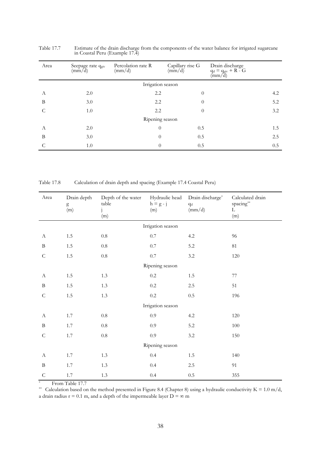| Area | Seepage rate qgiv<br>$\left(\frac{m}{d}\right)$ | Percolation rate R<br>$\text{(mm/d)}$ | Capillary rise G<br>$\left(\frac{m}{d}\right)^{2}$ | Drain discharge<br>$q_d = q_{\text{giv}} + R - G$<br>$\text{(mm/d)}$ |
|------|-------------------------------------------------|---------------------------------------|----------------------------------------------------|----------------------------------------------------------------------|
|      |                                                 | Irrigation season                     |                                                    |                                                                      |
| А    | 2.0                                             | 2.2                                   | $\overline{0}$                                     | 4.2                                                                  |
| B    | 3.0                                             | 2.2                                   | $\theta$                                           | 5.2                                                                  |
|      | 1.0                                             | 2.2                                   | $\theta$                                           | 3.2                                                                  |
|      |                                                 | Ripening season                       |                                                    |                                                                      |
| А    | 2.0                                             | $\theta$                              | 0.5                                                | 1.5                                                                  |
| B    | 3.0                                             | $\theta$                              | 0.5                                                | 2.5                                                                  |
|      | 1.0                                             | $\Omega$                              | 0.5                                                | 0.5                                                                  |

Table 17.7 Estimate of the drain discharge from the components of the water balance for irrigated sugarcane in Coastal Peru (Example 17.4)

Table 17.8 Calculation of drain depth and spacing (Example 17.4 Coastal Peru)

| Area             | Drain depth<br>g<br>(m) | Depth of the water<br>table<br>(m) | Hydraulic head<br>$h = g - j$<br>(m) | Drain discharge*<br>$q_d$<br>(mm/d) | Calculated drain<br>$\rm spacing^{**}$<br>$\mathbf L$<br>(m) |
|------------------|-------------------------|------------------------------------|--------------------------------------|-------------------------------------|--------------------------------------------------------------|
|                  |                         |                                    | Irrigation season                    |                                     |                                                              |
| $\boldsymbol{A}$ | $1.5\,$                 | $0.8\,$                            | $0.7\,$                              | $4.2\,$                             | 96                                                           |
| $\, {\bf B}$     | $1.5\,$                 | $0.8\,$                            | $0.7\,$                              | $5.2\,$                             | $81\,$                                                       |
| $\mathsf C$      | $1.5\,$                 | $0.8\,$                            | $0.7\,$                              | 3.2                                 | 120                                                          |
|                  |                         |                                    | Ripening season                      |                                     |                                                              |
| $\boldsymbol{A}$ | $1.5\,$                 | 1.3                                | $0.2\,$                              | $1.5\,$                             | $77\,$                                                       |
| $\, {\bf B}$     | $1.5\,$                 | 1.3                                | $0.2\,$                              | $2.5\,$                             | 51                                                           |
| $\mathsf C$      | $1.5\,$                 | 1.3                                | $0.2\,$                              | $0.5\,$                             | 196                                                          |
|                  |                         |                                    | Irrigation season                    |                                     |                                                              |
| $\boldsymbol{A}$ | 1.7                     | $0.8\,$                            | 0.9                                  | 4.2                                 | 120                                                          |
| $\, {\bf B}$     | 1.7                     | $0.8\,$                            | 0.9                                  | 5.2                                 | 100                                                          |
| ${\cal C}$       | 1.7                     | $0.8\,$                            | $0.9\,$                              | 3.2                                 | 150                                                          |
|                  |                         |                                    | Ripening season                      |                                     |                                                              |
| A                | 1.7                     | 1.3                                | $0.4\,$                              | $1.5\,$                             | 140                                                          |
| $\, {\bf B}$     | 1.7                     | 1.3                                | $0.4\,$                              | $2.5\,$                             | 91                                                           |
| $\mathsf C$      | 1.7                     | $1.3\,$                            | 0.4                                  | $0.5\,$                             | 355                                                          |

\* From Table 17.7

\*\* Calculation based on the method presented in Figure 8.4 (Chapter 8) using a hydraulic conductivity  $K = 1.0$  m/d,

a drain radius  $r = 0.1$  m, and a depth of the impermeable layer  $D = \infty$  m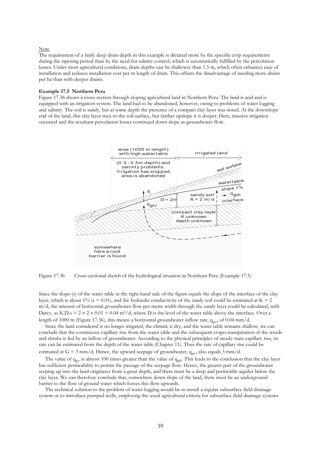#### Note

The requirement of a fairly deep drain depth in this example is dictated more by the specific crop requirements during the ripening period than by the need for salinity control, which is automatically fulfilled by the percolation losses. Under most agricultural conditions, drain depths can be shallower than 1.5 m, which often enhances ease of installation and reduces installation cost per m length of drain. This offsets the disadvantage of needing more drains per ha than with deeper drains.

#### **Example 17.5 Northern Peru**

Figure 17.36 shows a cross-section through sloping agricultural land in Northern Peru. The land is arid and is equipped with an irrigation system. The land had to be abandoned, however, owing to problems of water logging and salinity. The soil is sandy, but at some depth the presence of a compact clay layer was noted. At the downslope end of the land, this clay layer rises to the soil surface, but farther upslope it is deeper. Here, massive irrigation occurred and the resultant percolation losses continued down slope as groundwater flow.



Figure 17.36 Cross-sectional sketch of the hydrological situation in Northern Peru (Example 17.5)

Since the slope (s) of the water table at the right-hand side of the figure equals the slope of the interface of the clay layer, which is about 1% (s = 0.01), and the hydraulic conductivity of the sandy soil could be estimated at  $K = 2$ m/d, the amount of horizontal groundwater flow per metre width through the sandy layer could be calculated, with Darcy, as K.D.s =  $2 \times 2 \times 0.01 = 0.04$  m<sup>2</sup>/d, where D is the level of the water table above the interface. Over a length of 1000 m (Figure 17.36), this means a horizontal groundwater inflow rate,  $q_{\text{eiv}}$ , of 0.04 mm/d.

 Since the land considered is no longer irrigated, the climate is dry, and the water table remains shallow, we can conclude that the continuous capillary rise from the water table and the subsequent evapo-transpiration of the weeds and shrubs is fed by an inflow of groundwater. According to the physical principles of steady-state capillary rise, its rate can be estimated from the depth of the water table (Chapter 11). Thus the rate of capillary rise could be estimated at G = 3 mm/d. Hence, the upward seepage of groundwater,  $q_{\text{eiv}}$ , also equals 3 mm/d.

The value of  $q_{\text{giv}}$  is almost 100 times greater than the value of  $q_{\text{gih}}$ . This leads to the conclusion that the clay layer has sufficient permeability to permit the passage of the seepage flow. Hence, the greater part of the groundwater seeping up into the land originates from a great depth, and there must be a deep and permeable aquifer below the clay layer. We can therefore conclude that, somewhere down slope of the land, there must be an underground barrier to the flow of ground water which forces this flow upwards.

 The technical solution to the problem of water logging would be to install a regular subsurface field drainage system or to introduce pumped wells, employing the usual agricultural criteria for subsurface field drainage systems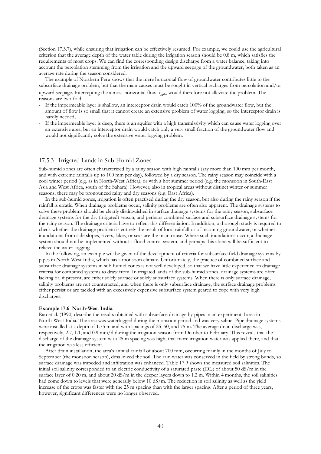(Section 17.3.7), while ensuring that irrigation can be effectively resumed. For example, we could use the agricultural criterion that the average depth of the water table during the irrigation season should be 0.8 m, which satisfies the requirements of most crops. We can find the corresponding design discharge from a water balance, taking into account the percolation stemming from the irrigation and the upward seepage of the groundwater, both taken as an average rate during the season considered.

 The example of Northern Peru shows that the mere horizontal flow of groundwater contributes little to the subsurface drainage problem, but that the main causes must be sought in vertical recharges from percolation and/or upward seepage. Intercepting the almost horizontal flow, q<sub>eih</sub>, would therefore not alleviate the problem. The reasons are two-fold:

- If the impermeable layer is shallow, an interceptor drain would catch 100% of the groundwater flow, but the amount of flow is so small that it cannot create an extensive problem of water logging, so the interceptor drain is hardly needed;
- If the impermeable layer is deep, there is an aquifer with a high transmissivity which can cause water logging over an extensive area, but an interceptor drain would catch only a very small fraction of the groundwater flow and would not significantly solve the extensive water logging problem.

### 17.5.3 Irrigated Lands in Sub-Humid Zones

Sub-humid zones are often characterized by a rainy season with high rainfalls (say more than 100 mm per month, and with extreme rainfalls up to 100 mm per day), followed by a dry season. The rainy season may coincide with a cool winter period (e.g. as in North-West Africa), or with a hot summer period (e.g. the monsoon in South-East Asia and West Africa, south of the Sahara). However, also in tropical areas without distinct winter or summer seasons, there may be pronounced rainy and dry seasons (e.g. East Africa).

 In the sub-humid zones, irrigation is often practised during the dry season, but also during the rainy season if the rainfall is erratic. When drainage problems occur, salinity problems are often also apparent. The drainage systems to solve these problems should be clearly distinguished in surface drainage systems for the rainy season, subsurface drainage systems for the dry (irrigated) season, and perhaps combined surface and subsurface drainage systems for the rainy season. The drainage criteria have to reflect this differentiation. In addition, a thorough study is required to check whether the drainage problem is entirely the result of local rainfall or of incoming groundwater, or whether inundations from side slopes, rivers, lakes, or seas are the main cause. Where such inundations occur, a drainage system should not be implemented without a flood control system, and perhaps this alone will be sufficient to relieve the water logging.

 In the following, an example will be given of the development of criteria for subsurface field drainage systems by pipes in North-West India, which has a monsoon climate. Unfortunately, the practice of combined surface and subsurface drainage systems in sub-humid zones is not well developed, so that we have little experience on drainage criteria for combined systems to draw from. In irrigated lands of the sub-humid zones, drainage systems are often lacking or, if present, are either solely surface or solely subsurface systems. When there is only surface drainage, salinity problems are not counteracted, and when there is only subsurface drainage, the surface drainage problems either persist or are tackled with an excessively expensive subsurface system geared to cope with very high discharges.

#### **Example 17.6 North-West India**

Rao et al. (1990) describe the results obtained with subsurface drainage by pipes in an experimental area in North-West India. The area was waterlogged during the monsoon period and was very saline. Pipe drainage systems were installed at a depth of 1.75 m and with spacings of 25, 50, and 75 m. The average drain discharge was, respectively, 2.7, 1.1, and 0.9 mm/d during the irrigation season from October to February. This reveals that the discharge of the drainage system with 25 m spacing was high, that more irrigation water was applied there, and that the irrigation was less efficient.

 After drain installation, the area's annual rainfall of about 700 mm, occurring mainly in the months of July to September (the monsoon season), desalinized the soil. The rain water was conserved in the field by strong bunds, so surface drainage was impeded and infiltration was enhanced. Table 17.9 shows the measured soil salinities. The initial soil salinity corresponded to an electric conductivity of a saturated paste (EC<sub>e</sub>) of about 50 dS/m in the surface layer of 0.20 m, and about 20 dS/m in the deeper layers down to 1.2 m. Within 4 months, the soil salinities had come down to levels that were generally below 10 dS/m. The reduction in soil salinity as well as the yield increase of the crops was faster with the 25 m spacing than with the larger spacing. After a period of three years, however, significant differences were no longer observed.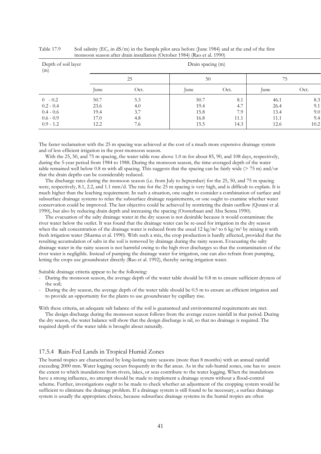| Depth of soil layer<br>(m) |      |      | Drain spacing (m) |      |      |      |
|----------------------------|------|------|-------------------|------|------|------|
|                            |      | 25   | 50                |      | 75   |      |
|                            | lune | Oct. | June              | Oct. | June | Oct. |
| $0 - 0.2$                  | 50.7 | 5.3  | 50.7              | 8.1  | 46.1 | 8.3  |
| $0.2 - 0.4$                | 23.6 | 4.0  | 19.4              | 4.7  | 26.4 | 9.1  |
| $0.4 - 0.6$                | 19.4 | 3.7  | 15.8              | 7.9  | 13.4 | 9.0  |
| $0.6 - 0.9$                | 17.0 | 4.8  | 16.8              | 11.1 | 11.1 | 9.4  |
| $0.9 - 1.2$                | 12.2 | 7.6  | 15.5              | 14.3 | 12.6 | 10.2 |

Table 17.9 Soil salinity  $(EC_e \text{ in dS/m})$  in the Sampla pilot area before (June 1984) and at the end of the first monsoon season after drain installation (October 1984) (Rao et al. 1990)

The faster reclamation with the 25 m spacing was achieved at the cost of a much more expensive drainage system and of less efficient irrigation in the post-monsoon season.

With the 25, 50, and 75 m spacing, the water table rose above 1.0 m for about 85, 90, and 108 days, respectively, during the 5-year period from 1984 to 1988. During the monsoon season, the time-averaged depth of the water table remained well below 0.8 m with all spacing. This suggests that the spacing can be fairly wide  $(275 \text{ m})$  and/or that the drain depths can be considerably reduced.

 The discharge rates during the monsoon season (i.e. from July to September) for the 25, 50, and 75 m spacing were, respectively, 8.1, 2.2, and 1.1 mm/d. The rate for the 25 m spacing is very high, and is difficult to explain. It is much higher than the leaching requirement. In such a situation, one ought to consider a combination of surface and subsurface drainage systems to relax the subsurface drainage requirements, or one ought to examine whether water conservation could be improved. The last objective could be achieved by restricting the drain outflow (Qorani et al. 1990), but also by reducing drain depth and increasing the spacing (Oosterbaan and Abu Senna 1990).

 The evacuation of the salty drainage water in the dry season is not desirable because it would contaminate the river water below the outlet. It was found that the drainage water can be re-used for irrigation in the dry season when the salt concentration of the drainage water is reduced from the usual  $12 \text{ kg/m}^3$  to 6 kg/m<sup>3</sup> by mixing it with fresh irrigation water (Sharma et al. 1990). With such a mix, the crop production is hardly affected, provided that the resulting accumulation of salts in the soil is removed by drainage during the rainy season. Evacuating the salty drainage water in the rainy season is not harmful owing to the high river discharges so that the contamination of the river water is negligible. Instead of pumping the drainage water for irrigation, one can also refrain from pumping, letting the crops use groundwater directly (Rao et al. 1992), thereby saving irrigation water.

Suitable drainage criteria appear to be the following:

- During the monsoon season, the average depth of the water table should be 0.8 m to ensure sufficient dryness of the soil;
- During the dry season, the average depth of the water table should be 0.5 m to ensure an efficient irrigation and to provide an opportunity for the plants to use groundwater by capillary rise.

With these criteria, an adequate salt balance of the soil is guaranteed and environmental requirements are met.

 The design discharge during the monsoon season follows from the average excess rainfall in that period. During the dry season, the water balance will show that the design discharge is nil, so that no drainage is required. The required depth of the water table is brought about naturally.

# 17.5.4 Rain-Fed Lands in Tropical Humid Zones

The humid tropics are characterized by long-lasting rainy seasons (more than 8 months) with an annual rainfall exceeding 2000 mm. Water logging occurs frequently in the flat areas. As in the sub-humid zones, one has to assess the extent to which inundations from rivers, lakes, or seas contribute to the water logging. When the inundations have a strong influence, no attempt should be made to implement a drainage system without a flood-control scheme. Further, investigations ought to be made to check whether an adjustment of the cropping system would be sufficient to eliminate the drainage problem. If a drainage system is still found to be necessary, a surface drainage system is usually the appropriate choice, because subsurface drainage systems in the humid tropics are often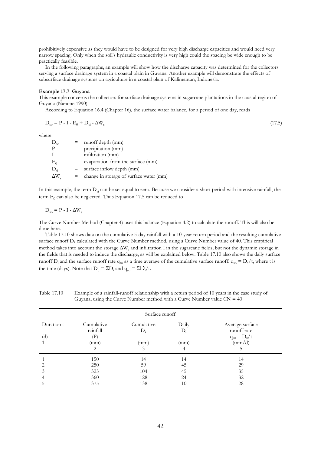prohibitively expensive as they would have to be designed for very high discharge capacities and would need very narrow spacing. Only when the soil's hydraulic conductivity is very high could the spacing be wide enough to be practically feasible.

 In the following paragraphs, an example will show how the discharge capacity was determined for the collectors serving a surface drainage system in a coastal plain in Guyana. Another example will demonstrate the effects of subsurface drainage systems on agriculture in a coastal plain of Kalimantan, Indonesia.

#### **Example 17.7 Guyana**

This example concerns the collectors for surface drainage systems in sugarcane plantations in the coastal region of Guyana (Naraine 1990).

According to Equation 16.4 (Chapter 16), the surface water balance, for a period of one day, reads

$$
D_{so} = P - I - E_0 + D_{si} - \Delta W_s \tag{17.5}
$$

where

| $D_{so}$     |     | $=$ runoff depth (mm)                   |
|--------------|-----|-----------------------------------------|
| Р            | $=$ | precipitation (mm)                      |
|              |     | $=$ infiltration (mm)                   |
| $E^0$        | $=$ | evaporation from the surface (mm)       |
| $D_{\rm ei}$ | $=$ | surface inflow depth (mm)               |
| $\Delta W$   | Ξ.  | change in storage of surface water (mm) |

In this example, the term  $D_{si}$  can be set equal to zero. Because we consider a short period with intensive rainfall, the term  $\mathrm{E}_0$  can also be neglected. Thus Equation 17.5 can be reduced to

$$
\mathbf{D}_{\rm so} = \mathbf{P} \cdot \mathbf{I} \cdot \Delta \mathbf{W}_{\rm s}
$$

The Curve Number Method (Chapter 4) uses this balance (Equation 4.2) to calculate the runoff. This will also be done here.

 Table 17.10 shows data on the cumulative 5-day rainfall with a 10-year return period and the resulting cumulative surface runoff D<sub>c</sub> calculated with the Curve Number method, using a Curve Number value of 40. This empirical method takes into account the storage  $\Delta W_s$  and infiltration I in the sugarcane fields, but not the dynamic storage in the fields that is needed to induce the discharge, as will be explained below. Table 17.10 also shows the daily surface runoff  $D_i$  and the surface runoff rate  $q_{so}$  as a time average of the cumulative surface runoff:  $q_{so} = D_c/t$ , where t is the time (days). Note that  $D_c = \Sigma D_i$  and  $q_{so} = \Sigma D_i / t$ .

Table 17.10 Example of a rainfall-runoff relationship with a return period of 10 years in the case study of Guyana, using the Curve Number method with a Curve Number value  $CN = 40$ 

|                                          |                                          | Surface runoff      |                |                                                    |
|------------------------------------------|------------------------------------------|---------------------|----------------|----------------------------------------------------|
| Duration t<br>$\left( \mathrm{d}\right)$ | Cumulative<br>rainfall<br>$(\mathbf{P})$ | Cumulative<br>$D_c$ | Daily<br>$D_i$ | Average surface<br>runoff rate<br>$q_{so} = D_c/t$ |
|                                          | (mm)<br>2                                | (mm)<br>3           | (mm)<br>4      | $\text{(mm/d)}$<br>C                               |
|                                          | 150                                      | 14                  | 14             | 14                                                 |
|                                          | 250                                      | 59                  | 45             | 29                                                 |
| 3                                        | 325                                      | 104                 | 45             | 35                                                 |
|                                          | 360                                      | 128                 | 24             | 32                                                 |
|                                          | 375                                      | 138                 | 10             | 28                                                 |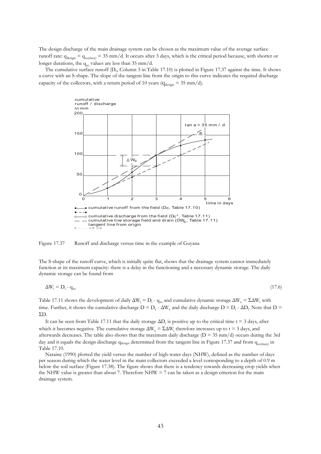The design discharge of the main drainage system can be chosen as the maximum value of the average surface runoff rate:  $q_{\text{design}} = q_{\text{so(max)}} = 35$  mm/d. It occurs after 3 days, which is the critical period because, with shorter or longer durations, the  $q_{so}$  values are less than 35 mm/d.

The cumulative surface runoff ( $D_c$ , Column 3 in Table 17.10) is plotted in Figure 17.37 against the time. It shows a curve with an S-shape. The slope of the tangent line from the origin to this curve indicates the required discharge capacity of the collectors, with a return period of 10 years ( $q_{\text{desion}} = 35 \text{ mm/d}$ ).



Figure 17.37 Runoff and discharge versus time in the example of Guyana

The S-shape of the runoff curve, which is initially quite flat, shows that the drainage system cannot immediately function at its maximum capacity: there is a delay in the functioning and a necessary dynamic storage. The daily dynamic storage can be found from

$$
\Delta W_{i} = D_{i} - q_{so} \tag{17.6}
$$

Table 17.11 shows the development of daily  $\Delta W_i = D_i - q_{so}$  and cumulative dynamic storage  $\Delta W_c = \Sigma \Delta W_i$  with time. Further, it shows the cumulative discharge  $D = D_c - \Delta W_c$  and the daily discharge  $D = D_i - \Delta D_i$ . Note that  $D = D_c$ ΣD.

It can be seen from Table 17.11 that the daily storage  $\Delta D_i$  is positive up to the critical time t = 3 days, after which it becomes negative. The cumulative storage  $\Delta W_c = \Sigma \Delta W_i$  therefore increases up to t = 3 days, and afterwards decreases. The table also shows that the maximum daily discharge ( $D = 35$  mm/d) occurs during the 3rd day and it equals the design discharge qdesign determined from the tangent line in Figure 17.37 and from qso(max) in Table 17.10.

 Naraine (1990) plotted the yield versus the number of high-water days (NHW), defined as the number of days per season during which the water level in the main collectors exceeded a level corresponding to a depth of 0.9 m below the soil surface (Figure 17.38). The figure shows that there is a tendency towards decreasing crop yields when the NHW value is greater than about 7. Therefore NHW  $= 7$  can be taken as a design criterion for the main drainage system.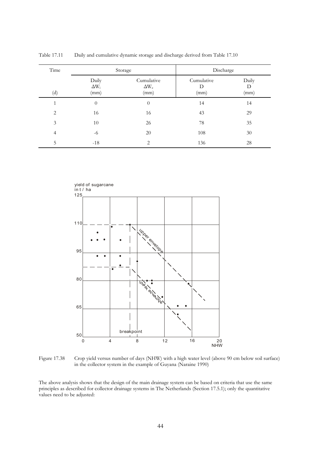| Time           | Storage                       |                                    | Discharge               |                    |
|----------------|-------------------------------|------------------------------------|-------------------------|--------------------|
| (d)            | Daily<br>$\Delta W_i$<br>(mm) | Cumulative<br>$\Delta W_c$<br>(mm) | Cumulative<br>D<br>(mm) | Daily<br>D<br>(mm) |
| 1              | $\theta$                      | $\theta$                           | 14                      | 14                 |
| 2              | 16                            | 16                                 | 43                      | 29                 |
| 3              | 10                            | 26                                 | 78                      | 35                 |
| $\overline{4}$ | $-6$                          | 20                                 | 108                     | $30\,$             |
| 5              | $-18$                         | 2                                  | 136                     | 28                 |

Table 17.11 Daily and cumulative dynamic storage and discharge derived from Table 17.10



Figure 17.38 Crop yield versus number of days (NHW) with a high water level (above 90 cm below soil surface) in the collector system in the example of Guyana (Naraine 1990)

The above analysis shows that the design of the main drainage system can be based on criteria that use the same principles as described for collector drainage systems in The Netherlands (Section 17.5.1); only the quantitative values need to be adjusted: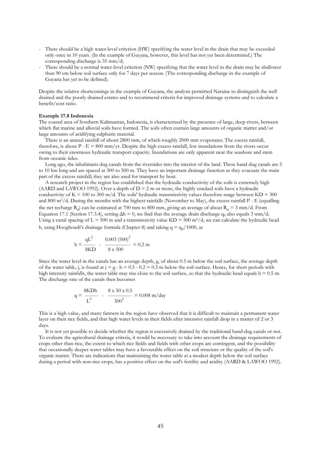- There should be a high water-level criterion (HW) specifying the water level in the drain that may be exceeded only once in 10 years. (In the example of Guyana, however, this level has not yet been determined.) The corresponding discharge is 35 mm/d;
- There should be a normal water-level criterion (NW) specifying that the water level in the drain may be shallower than 90 cm below soil surface only for 7 days per season. (The corresponding discharge in the example of Guyana has yet to be defined).

Despite the relative shortcomings in the example of Guyana, the analysis permitted Naraine to distinguish the well drained and the poorly drained estates and to recommend criteria for improved drainage systems and to calculate a benefit/cost ratio.

#### **Example 17.8 Indonesia**

The coastal area of Southern Kalimantan, Indonesia, is characterized by the presence of large, deep rivers, between which flat marine and alluvial soils have formed. The soils often contain large amounts of organic matter and/or large amounts of acidifying sulphuric material.

 There is an annual rainfall of about 2800 mm, of which roughly 2000 mm evaporates. The excess rainfall, therefore, is about  $P - E = 800$  mm/yr. Despite the high excess rainfall, few inundations from the rivers occur owing to their enormous hydraulic transport capacity. Inundations are only apparent near the seashore and stem from oceanic tides.

 Long ago, the inhabitants dug canals from the riversides into the interior of the land. These hand-dug canals are 5 to 10 km long and are spaced at 300 to 500 m. They have an important drainage function as they evacuate the main part of the excess rainfall; they are also used for transport by boat.

 A research project in the region has established that the hydraulic conductivity of the soils is extremely high (AARD and LAWOO 1992). Over a depth of  $D = 2$  m or more, the highly cracked soils have a hydraulic conductivity of  $K = 100$  to 300 m/d. The soils' hydraulic transmissivity values therefore range between  $KD = 300$ and 800 m²/d. During the months with the highest rainfalls (November to May), the excess rainfall P - E (equalling the net recharge  $R_d$ ) can be estimated at 700 mm to 800 mm, giving an average of about  $R_d = 3$  mm/d. From Equation 17.1 (Section 17.3.4), setting  $\Delta h = 0$ , we find that the average drain discharge q<sub>d</sub> also equals 3 mm/d. Using a canal spacing of  $L = 500$  m and a transmissivity value  $KD = 500$  m<sup>2</sup>/d, we can calculate the hydraulic head h, using Hooghoudt's drainage formula (Chapter 8) and taking  $q = q_d/1000$ , as

$$
h = \frac{qL^2}{8KD} - \frac{0.003 (500)^2}{8 x 500} = 0.2 m
$$

Since the water level in the canals has an average depth, g, of about 0.5 m below the soil surface, the average depth of the water table, j, is found at  $j = g - h = 0.5 - 0.2 = 0.3$  m below the soil surface. Hence, for short periods with high intensity rainfalls, the water table may rise close to the soil surface, so that the hydraulic head equals  $h = 0.5$  m. The discharge rate of the canals then becomes

$$
q = \frac{8KDh}{L^2} \qquad \frac{8 \times 50 \times 0.5}{500^2} = 0.008 \text{ m/day}
$$

This is a high value, and many farmers in the region have observed that it is difficult to maintain a permanent water layer on their rice fields, and that high water levels in their fields after intensive rainfall drop in a matter of 2 or 3 days.

 It is not yet possible to decide whether the region is excessively drained by the traditional hand-dug canals or not. To evaluate the agricultural drainage criteria, it would be necessary to take into account the drainage requirements of crops other than rice, the extent to which rice fields and fields with other crops are contingent, and the possibility that occasionally deeper water tables may have a favourable effect on the soil structure or the quality of the soil's organic matter. There are indications that maintaining the water table at a modest depth below the soil surface during a period with non-rice crops, has a positive effect on the soil's fertility and acidity (AARD & LAWOO 1992).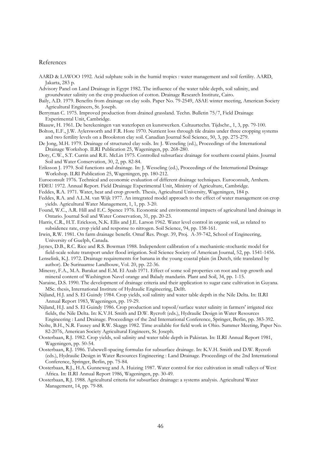# References

- AARD & LAWOO 1992. Acid sulphate soils in the humid tropics : water management and soil fertility. AARD, Jakarta, 283 p.
- Advisory Panel on Land Drainage in Egypt 1982. The influence of the water table depth, soil salinity, and groundwater salinity on the crop production of cotton. Drainage Research Institute, Cairo.
- Baily, A.D. 1979. Benefits from drainage on clay soils. Paper No. 79-2549, ASAE winter meeting, American Society Agricultural Engineers, St. Joseph.
- Berryman C. 1975. Improved production from drained grassland. Techn. Bulletin 75/7, Field Drainage Experimental Unit, Cambridge.
- Blaauw, H. 1961. De berekeningen van waterlopen en kunstwerken. Cultuurtechn. Tijdschr., 1, 3, pp. 79-100.
- Bolton, E.F., J.W. Aylersworth and F.R. Hore 1970. Nutrient loss through tile drains under three cropping systems and two fertility levels on a Brookston clay soil. Canadian Journal Soil Science, 50, 3, pp. 275-279.
- De Jong, M.H. 1979. Drainage of structured clay soils. In: J. Wesseling (ed.), Proceedings of the International Drainage Workshop. ILRI Publication 25, Wageningen, pp. 268-280.
- Doty, C.W., S.T. Currin and R.E. McLin 1975. Controlled subsurface drainage for southern coastal plains. Journal Soil and Water Conservation, 30, 2, pp. 82-84.
- Eriksson J. 1979. Soil functions and drainage. In: J. Wesseling (ed.), Proceedings of the International Drainage Workshop. ILRI Publication 25, Wageningen, pp. 180-212.
- Euroconsult 1976. Technical and economic evaluation of different drainage techniques. Euroconsult, Arnhem.
- FDEU 1972. Annual Report. Field Drainage Experimental Unit, Ministry of Agriculture, Cambridge.
- Feddes, R.A. 1971. Water, heat and crop growth. Thesis, Agricultural University, Wageningen, 184 p.
- Feddes, R.A. and A.L.M. van Wijk 1977. An integrated model approach to the effect of water management on crop yields. Agricultural Water Management, 1, 1, pp. 3-20.
- Found, W.C., A.R. Hill and E.C. Spence 1976. Economic and environmental impacts of agricultural land drainage in Ontario. Journal Soil and Water Conservation, 31, pp. 20-23.
- Harris, C.R., H.T. Erickson, N.K. Ellis and J.E. Larson 1962. Water level control in organic soil, as related to subsidence rate, crop yield and response to nitrogen. Soil Science, 94, pp. 158-161.
- Irwin, R.W. 1981. On farm drainage benefit. Omaf Res. Progr. 39, Proj. A-39-742, School of Engineering, University of Guelph, Canada.
- Jaynes, D.B., R.C. Rice and R.S. Bowman 1988. Independent calibration of a mechanistic-stochastic model for field-scale solute transport under flood irrigation. Soil Science Society of American Journal, 52, pp. 1541-1456.
- Lenselink, K.J. 1972. Drainage requirements for banana in the young coastal plain (in Dutch, title translated by author). De Surinaamse Landbouw, Vol. 20, pp. 22-36.
- Minessy, F.A., M.A. Barakat and E.M. El Azab 1971. Effect of some soil properties on root and top growth and mineral content of Washington Navel orange and Balady mandarin. Plant and Soil, 34, pp. 1-15.
- Naraine, D.S. 1990. The development of drainage criteria and their application to sugar cane cultivation in Guyana. MSc. thesis, International Institute of Hydraulic Engineering, Delft.
- Nijland, H.J. and S. El Guindy 1984. Crop yields, soil salinity and water table depth in the Nile Delta. In: ILRI Annual Report 1983, Wageningen, pp. 19-29.
- Nijland, H.J. and S. El Guindy 1986. Crop production and topsoil/surface water salinity in farmers' irrigated rice fields, the Nile Delta. In: K.V.H. Smith and D.W. Rycroft (eds.), Hydraulic Design in Water Resources Engineering : Land Drainage. Proceedings of the 2nd International Conference, Springer, Berlin, pp. 383-392.
- Nolte, B.H., N.R. Fausey and R.W. Skaggs 1982. Time available for field work in Ohio. Summer Meeting, Paper No. 82-2076, American Society Agricultural Engineers, St. Joseph.
- Oosterbaan, R.J. 1982. Crop yields, soil salinity and water table depth in Pakistan. In: ILRI Annual Report 1981, Wageningen, pp. 50-54.
- Oosterbaan, R.J. 1986. Tubewell-spacing formulas for subsurface drainage. In: K.V.H. Smith and D.W. Rycroft (eds.), Hydraulic Design in Water Resources Engineering : Land Drainage. Proceedings of the 2nd International Conference, Springer, Berlin, pp. 75-84.
- Oosterbaan, R.J., H.A. Gunneweg and A. Huizing 1987. Water control for rice cultivation in small valleys of West Africa. In: ILRI Annual Report 1986, Wageningen, pp. 30-49.
- Oosterbaan, R.J. 1988. Agricultural criteria for subsurface drainage: a systems analysis. Agricultural Water Management, 14, pp. 79-88.